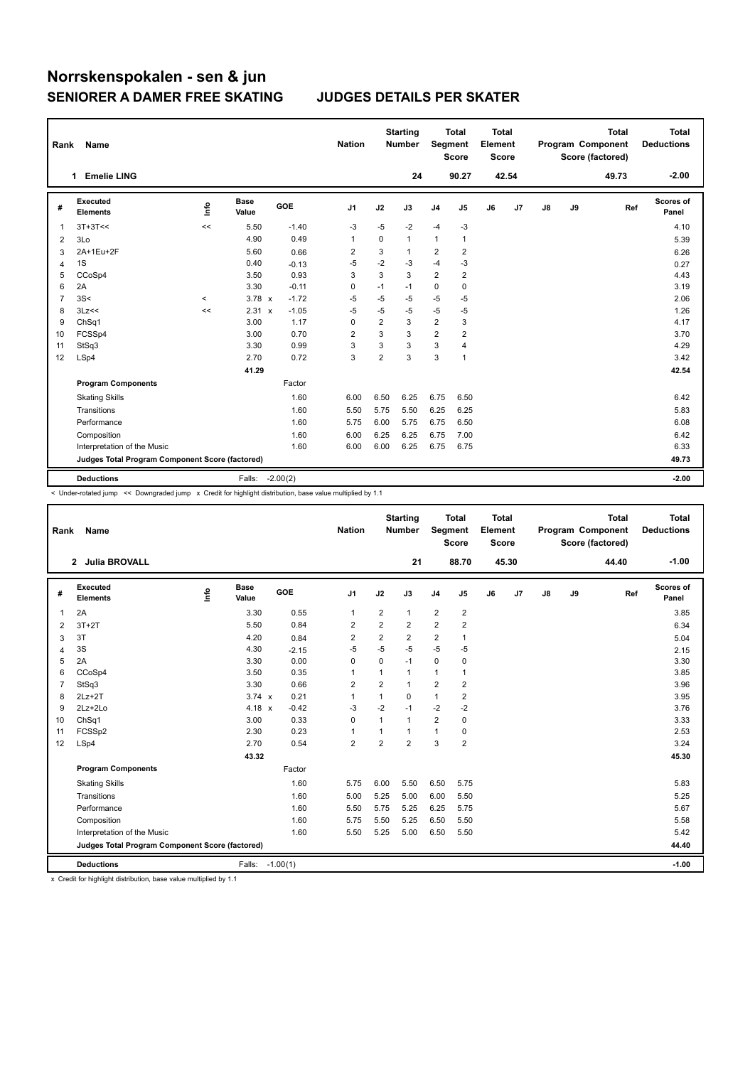| Rank           | Name                                            |         |                      |            | <b>Nation</b>  |                | <b>Starting</b><br><b>Number</b> | Segment                 | <b>Total</b><br><b>Score</b> | <b>Total</b><br>Element<br><b>Score</b> |                |    |    | <b>Total</b><br>Program Component<br>Score (factored) | <b>Total</b><br><b>Deductions</b> |
|----------------|-------------------------------------------------|---------|----------------------|------------|----------------|----------------|----------------------------------|-------------------------|------------------------------|-----------------------------------------|----------------|----|----|-------------------------------------------------------|-----------------------------------|
|                | <b>Emelie LING</b><br>1                         |         |                      |            |                |                | 24                               |                         | 90.27                        |                                         | 42.54          |    |    | 49.73                                                 | $-2.00$                           |
| #              | Executed<br><b>Elements</b>                     | ١ifo    | <b>Base</b><br>Value | GOE        | J <sub>1</sub> | J2             | J3                               | J <sub>4</sub>          | J5                           | J6                                      | J <sub>7</sub> | J8 | J9 | Ref                                                   | <b>Scores of</b><br>Panel         |
| 1              | $3T+3T<<$                                       | <<      | 5.50                 | $-1.40$    | $-3$           | $-5$           | $-2$                             | $-4$                    | $-3$                         |                                         |                |    |    |                                                       | 4.10                              |
| 2              | 3Lo                                             |         | 4.90                 | 0.49       | $\mathbf{1}$   | $\Omega$       | $\mathbf{1}$                     | $\mathbf{1}$            | $\mathbf{1}$                 |                                         |                |    |    |                                                       | 5.39                              |
| 3              | 2A+1Eu+2F                                       |         | 5.60                 | 0.66       | 2              | 3              | 1                                | 2                       | 2                            |                                         |                |    |    |                                                       | 6.26                              |
| 4              | 1S                                              |         | 0.40                 | $-0.13$    | $-5$           | $-2$           | -3                               | $-4$                    | $-3$                         |                                         |                |    |    |                                                       | 0.27                              |
| 5              | CCoSp4                                          |         | 3.50                 | 0.93       | 3              | 3              | 3                                | $\overline{2}$          | $\overline{2}$               |                                         |                |    |    |                                                       | 4.43                              |
| 6              | 2A                                              |         | 3.30                 | $-0.11$    | 0              | $-1$           | $-1$                             | 0                       | 0                            |                                         |                |    |    |                                                       | 3.19                              |
| $\overline{7}$ | 3S<                                             | $\prec$ | $3.78 \times$        | $-1.72$    | $-5$           | $-5$           | $-5$                             | $-5$                    | $-5$                         |                                         |                |    |    |                                                       | 2.06                              |
| 8              | 3Lz<<                                           | <<      | 2.31 x               | $-1.05$    | $-5$           | $-5$           | -5                               | $-5$                    | $-5$                         |                                         |                |    |    |                                                       | 1.26                              |
| 9              | ChSq1                                           |         | 3.00                 | 1.17       | 0              | $\overline{2}$ | 3                                | $\overline{\mathbf{c}}$ | 3                            |                                         |                |    |    |                                                       | 4.17                              |
| 10             | FCSSp4                                          |         | 3.00                 | 0.70       | $\overline{2}$ | 3              | 3                                | $\overline{2}$          | $\overline{\mathbf{c}}$      |                                         |                |    |    |                                                       | 3.70                              |
| 11             | StSq3                                           |         | 3.30                 | 0.99       | 3              | 3              | 3                                | 3                       | $\overline{4}$               |                                         |                |    |    |                                                       | 4.29                              |
| 12             | LSp4                                            |         | 2.70                 | 0.72       | 3              | $\overline{2}$ | 3                                | 3                       | $\mathbf{1}$                 |                                         |                |    |    |                                                       | 3.42                              |
|                |                                                 |         | 41.29                |            |                |                |                                  |                         |                              |                                         |                |    |    |                                                       | 42.54                             |
|                | <b>Program Components</b>                       |         |                      | Factor     |                |                |                                  |                         |                              |                                         |                |    |    |                                                       |                                   |
|                | <b>Skating Skills</b>                           |         |                      | 1.60       | 6.00           | 6.50           | 6.25                             | 6.75                    | 6.50                         |                                         |                |    |    |                                                       | 6.42                              |
|                | Transitions                                     |         |                      | 1.60       | 5.50           | 5.75           | 5.50                             | 6.25                    | 6.25                         |                                         |                |    |    |                                                       | 5.83                              |
|                | Performance                                     |         |                      | 1.60       | 5.75           | 6.00           | 5.75                             | 6.75                    | 6.50                         |                                         |                |    |    |                                                       | 6.08                              |
|                | Composition                                     |         |                      | 1.60       | 6.00           | 6.25           | 6.25                             | 6.75                    | 7.00                         |                                         |                |    |    |                                                       | 6.42                              |
|                | Interpretation of the Music                     |         |                      | 1.60       | 6.00           | 6.00           | 6.25                             | 6.75                    | 6.75                         |                                         |                |    |    |                                                       | 6.33                              |
|                | Judges Total Program Component Score (factored) |         |                      |            |                |                |                                  |                         |                              |                                         |                |    |    |                                                       | 49.73                             |
|                | <b>Deductions</b>                               |         | Falls:               | $-2.00(2)$ |                |                |                                  |                         |                              |                                         |                |    |    |                                                       | $-2.00$                           |

< Under-rotated jump << Downgraded jump x Credit for highlight distribution, base value multiplied by 1.1

| Name                        |                                 |                      |                                                         | <b>Nation</b>                                      |                |                |                                                    |                |                                                                    |    |                                                  |    | <b>Total</b> | <b>Total</b><br><b>Deductions</b>            |
|-----------------------------|---------------------------------|----------------------|---------------------------------------------------------|----------------------------------------------------|----------------|----------------|----------------------------------------------------|----------------|--------------------------------------------------------------------|----|--------------------------------------------------|----|--------------|----------------------------------------------|
|                             |                                 |                      |                                                         |                                                    |                | 21             |                                                    |                |                                                                    |    |                                                  |    | 44.40        | $-1.00$                                      |
| Executed<br><b>Elements</b> | lnfo                            | <b>Base</b><br>Value | GOE                                                     | J <sub>1</sub>                                     | J2             | J3             | J <sub>4</sub>                                     | J5             | J6                                                                 | J7 | $\mathsf{J}8$                                    | J9 |              | Scores of<br>Panel                           |
| 2A                          |                                 | 3.30                 | 0.55                                                    | $\overline{1}$                                     | $\overline{2}$ | $\mathbf{1}$   | $\overline{2}$                                     | $\overline{2}$ |                                                                    |    |                                                  |    |              | 3.85                                         |
| $3T+2T$                     |                                 | 5.50                 | 0.84                                                    | $\overline{\mathbf{c}}$                            | $\overline{2}$ | 2              | $\overline{2}$                                     | 2              |                                                                    |    |                                                  |    |              | 6.34                                         |
| 3T                          |                                 | 4.20                 | 0.84                                                    | $\overline{2}$                                     | $\overline{2}$ | $\overline{2}$ | $\overline{2}$                                     | 1              |                                                                    |    |                                                  |    |              | 5.04                                         |
| 3S                          |                                 | 4.30                 | $-2.15$                                                 | $-5$                                               | $-5$           | $-5$           | $-5$                                               | $-5$           |                                                                    |    |                                                  |    |              | 2.15                                         |
| 2A                          |                                 | 3.30                 | 0.00                                                    | $\Omega$                                           | $\mathbf 0$    | $-1$           | $\mathbf 0$                                        | 0              |                                                                    |    |                                                  |    |              | 3.30                                         |
| CCoSp4                      |                                 | 3.50                 | 0.35                                                    | 1                                                  | 1              | $\mathbf{1}$   | 1                                                  | 1              |                                                                    |    |                                                  |    |              | 3.85                                         |
| StSq3                       |                                 | 3.30                 | 0.66                                                    | $\overline{2}$                                     | $\overline{2}$ | $\mathbf{1}$   | $\overline{2}$                                     | $\overline{2}$ |                                                                    |    |                                                  |    |              | 3.96                                         |
| $2Lz+2T$                    |                                 |                      | 0.21                                                    | $\overline{1}$                                     | 1              | $\Omega$       | 1                                                  | 2              |                                                                    |    |                                                  |    |              | 3.95                                         |
| 2Lz+2Lo                     |                                 |                      | $-0.42$                                                 | $-3$                                               | $-2$           | $-1$           |                                                    | $-2$           |                                                                    |    |                                                  |    |              | 3.76                                         |
| ChSq1                       |                                 | 3.00                 | 0.33                                                    | $\Omega$                                           | 1              | $\mathbf{1}$   | $\overline{2}$                                     | 0              |                                                                    |    |                                                  |    |              | 3.33                                         |
| FCSSp2                      |                                 | 2.30                 | 0.23                                                    | 1                                                  | 1              | $\mathbf{1}$   | $\mathbf{1}$                                       | 0              |                                                                    |    |                                                  |    |              | 2.53                                         |
|                             |                                 |                      |                                                         |                                                    |                |                |                                                    |                |                                                                    |    |                                                  |    |              | 3.24                                         |
|                             |                                 | 43.32                |                                                         |                                                    |                |                |                                                    |                |                                                                    |    |                                                  |    |              | 45.30                                        |
| <b>Program Components</b>   |                                 |                      | Factor                                                  |                                                    |                |                |                                                    |                |                                                                    |    |                                                  |    |              |                                              |
| <b>Skating Skills</b>       |                                 |                      | 1.60                                                    | 5.75                                               | 6.00           | 5.50           | 6.50                                               | 5.75           |                                                                    |    |                                                  |    |              | 5.83                                         |
| Transitions                 |                                 |                      | 1.60                                                    | 5.00                                               | 5.25           | 5.00           | 6.00                                               | 5.50           |                                                                    |    |                                                  |    |              | 5.25                                         |
| Performance                 |                                 |                      | 1.60                                                    | 5.50                                               | 5.75           | 5.25           | 6.25                                               | 5.75           |                                                                    |    |                                                  |    |              | 5.67                                         |
| Composition                 |                                 |                      | 1.60                                                    | 5.75                                               | 5.50           | 5.25           | 6.50                                               | 5.50           |                                                                    |    |                                                  |    |              | 5.58                                         |
| Interpretation of the Music |                                 |                      | 1.60                                                    | 5.50                                               | 5.25           | 5.00           | 6.50                                               | 5.50           |                                                                    |    |                                                  |    |              | 5.42                                         |
|                             |                                 |                      |                                                         |                                                    |                |                |                                                    |                |                                                                    |    |                                                  |    |              | 44.40                                        |
| <b>Deductions</b>           |                                 |                      |                                                         |                                                    |                |                |                                                    |                |                                                                    |    |                                                  |    |              | $-1.00$                                      |
|                             | Rank<br>2 Julia BROVALL<br>LSp4 |                      | 2.70<br>Judges Total Program Component Score (factored) | $3.74 \times$<br>4.18 x<br>0.54<br>Falls: -1.00(1) | $\overline{2}$ | $\overline{2}$ | <b>Starting</b><br><b>Number</b><br>$\overline{2}$ | $-2$<br>3      | <b>Total</b><br>Segment<br><b>Score</b><br>88.70<br>$\overline{2}$ |    | <b>Total</b><br>Element<br><b>Score</b><br>45.30 |    |              | Program Component<br>Score (factored)<br>Ref |

x Credit for highlight distribution, base value multiplied by 1.1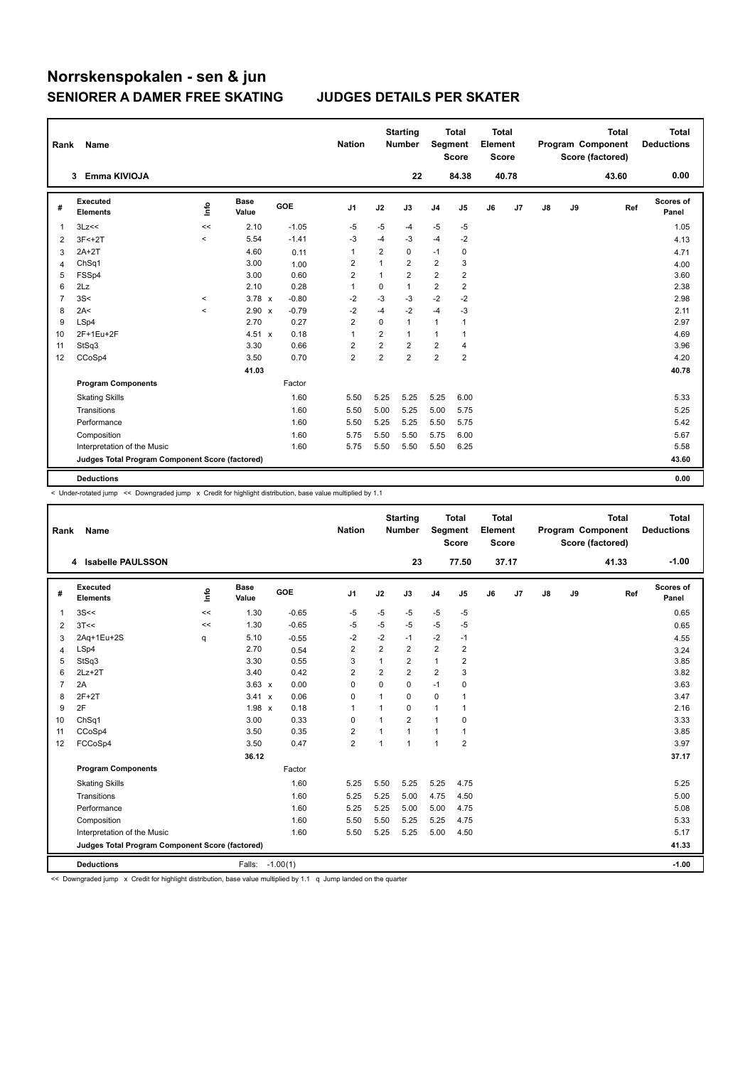| Rank           | Name                                            |         |                      |         | <b>Nation</b>           |                | <b>Starting</b><br><b>Number</b> | Segment                 | <b>Total</b><br><b>Score</b> | <b>Total</b><br>Element<br>Score |       |               |    | <b>Total</b><br>Program Component<br>Score (factored) | <b>Total</b><br><b>Deductions</b> |
|----------------|-------------------------------------------------|---------|----------------------|---------|-------------------------|----------------|----------------------------------|-------------------------|------------------------------|----------------------------------|-------|---------------|----|-------------------------------------------------------|-----------------------------------|
|                | Emma KIVIOJA<br>3                               |         |                      |         |                         |                | 22                               |                         | 84.38                        |                                  | 40.78 |               |    | 43.60                                                 | 0.00                              |
| #              | Executed<br><b>Elements</b>                     | ١ifo    | <b>Base</b><br>Value | GOE     | J <sub>1</sub>          | J2             | J3                               | J <sub>4</sub>          | J5                           | J6                               | J7    | $\mathsf{J}8$ | J9 | Ref                                                   | Scores of<br>Panel                |
| 1              | 3Lz<<                                           | <<      | 2.10                 | $-1.05$ | $-5$                    | $-5$           | -4                               | $-5$                    | $-5$                         |                                  |       |               |    |                                                       | 1.05                              |
| 2              | $3F < +2T$                                      | $\,<\,$ | 5.54                 | $-1.41$ | -3                      | $-4$           | $-3$                             | $-4$                    | $-2$                         |                                  |       |               |    |                                                       | 4.13                              |
| 3              | $2A+2T$                                         |         | 4.60                 | 0.11    | $\mathbf{1}$            | $\overline{2}$ | 0                                | $-1$                    | 0                            |                                  |       |               |    |                                                       | 4.71                              |
| 4              | ChSq1                                           |         | 3.00                 | 1.00    | $\overline{2}$          | 1              | $\overline{2}$                   | $\overline{2}$          | 3                            |                                  |       |               |    |                                                       | 4.00                              |
| 5              | FSSp4                                           |         | 3.00                 | 0.60    | $\overline{\mathbf{c}}$ | 1              | $\overline{2}$                   | $\overline{2}$          | $\overline{2}$               |                                  |       |               |    |                                                       | 3.60                              |
| 6              | 2Lz                                             |         | 2.10                 | 0.28    | $\mathbf{1}$            | $\mathbf 0$    | $\mathbf{1}$                     | $\overline{\mathbf{c}}$ | $\overline{\mathbf{c}}$      |                                  |       |               |    |                                                       | 2.38                              |
| $\overline{7}$ | 3S<                                             | $\prec$ | $3.78 \times$        | $-0.80$ | $-2$                    | $-3$           | $-3$                             | $-2$                    | $-2$                         |                                  |       |               |    |                                                       | 2.98                              |
| 8              | 2A<                                             | $\prec$ | $2.90 \times$        | $-0.79$ | $-2$                    | $-4$           | $-2$                             | $-4$                    | -3                           |                                  |       |               |    |                                                       | 2.11                              |
| 9              | LSp4                                            |         | 2.70                 | 0.27    | $\overline{2}$          | $\Omega$       | $\mathbf{1}$                     | $\mathbf{1}$            | $\mathbf{1}$                 |                                  |       |               |    |                                                       | 2.97                              |
| 10             | 2F+1Eu+2F                                       |         | 4.51 x               | 0.18    | $\overline{1}$          | $\overline{2}$ | $\mathbf{1}$                     | $\mathbf{1}$            | 1                            |                                  |       |               |    |                                                       | 4.69                              |
| 11             | StSq3                                           |         | 3.30                 | 0.66    | 2                       | $\overline{2}$ | $\overline{2}$                   | $\overline{\mathbf{c}}$ | $\overline{4}$               |                                  |       |               |    |                                                       | 3.96                              |
| 12             | CCoSp4                                          |         | 3.50                 | 0.70    | $\overline{2}$          | $\overline{2}$ | $\overline{2}$                   | $\overline{2}$          | $\overline{\mathbf{c}}$      |                                  |       |               |    |                                                       | 4.20                              |
|                |                                                 |         | 41.03                |         |                         |                |                                  |                         |                              |                                  |       |               |    |                                                       | 40.78                             |
|                | <b>Program Components</b>                       |         |                      | Factor  |                         |                |                                  |                         |                              |                                  |       |               |    |                                                       |                                   |
|                | <b>Skating Skills</b>                           |         |                      | 1.60    | 5.50                    | 5.25           | 5.25                             | 5.25                    | 6.00                         |                                  |       |               |    |                                                       | 5.33                              |
|                | Transitions                                     |         |                      | 1.60    | 5.50                    | 5.00           | 5.25                             | 5.00                    | 5.75                         |                                  |       |               |    |                                                       | 5.25                              |
|                | Performance                                     |         |                      | 1.60    | 5.50                    | 5.25           | 5.25                             | 5.50                    | 5.75                         |                                  |       |               |    |                                                       | 5.42                              |
|                | Composition                                     |         |                      | 1.60    | 5.75                    | 5.50           | 5.50                             | 5.75                    | 6.00                         |                                  |       |               |    |                                                       | 5.67                              |
|                | Interpretation of the Music                     |         |                      | 1.60    | 5.75                    | 5.50           | 5.50                             | 5.50                    | 6.25                         |                                  |       |               |    |                                                       | 5.58                              |
|                | Judges Total Program Component Score (factored) |         |                      |         |                         |                |                                  |                         |                              |                                  |       |               |    |                                                       | 43.60                             |
|                | <b>Deductions</b>                               |         |                      |         |                         |                |                                  |                         |                              |                                  |       |               |    |                                                       | 0.00                              |

< Under-rotated jump << Downgraded jump x Credit for highlight distribution, base value multiplied by 1.1

| Rank | Name                                            |      |                      |         | <b>Nation</b>  |                | <b>Starting</b><br><b>Number</b> | Segment        | <b>Total</b><br><b>Score</b> | <b>Total</b><br>Element<br><b>Score</b> |       |    |    | <b>Total</b><br>Program Component<br>Score (factored) | <b>Total</b><br><b>Deductions</b> |
|------|-------------------------------------------------|------|----------------------|---------|----------------|----------------|----------------------------------|----------------|------------------------------|-----------------------------------------|-------|----|----|-------------------------------------------------------|-----------------------------------|
|      | 4 Isabelle PAULSSON                             |      |                      |         |                |                | 23                               |                | 77.50                        |                                         | 37.17 |    |    | 41.33                                                 | $-1.00$                           |
| #    | Executed<br><b>Elements</b>                     | lnfo | <b>Base</b><br>Value | GOE     | J1             | J2             | J3                               | J <sub>4</sub> | J5                           | J6                                      | J7    | J8 | J9 | Ref                                                   | <b>Scores of</b><br>Panel         |
| 1    | 3S<<                                            | <<   | 1.30                 | $-0.65$ | $-5$           | $-5$           | $-5$                             | $-5$           | $-5$                         |                                         |       |    |    |                                                       | 0.65                              |
| 2    | 3T<<                                            | <<   | 1.30                 | $-0.65$ | $-5$           | $-5$           | $-5$                             | $-5$           | $-5$                         |                                         |       |    |    |                                                       | 0.65                              |
| 3    | 2Aq+1Eu+2S                                      | q    | 5.10                 | $-0.55$ | $-2$           | $-2$           | $-1$                             | $-2$           | $-1$                         |                                         |       |    |    |                                                       | 4.55                              |
| 4    | LSp4                                            |      | 2.70                 | 0.54    | 2              | $\overline{2}$ | 2                                | $\overline{2}$ | $\overline{2}$               |                                         |       |    |    |                                                       | 3.24                              |
| 5    | StSq3                                           |      | 3.30                 | 0.55    | 3              | $\mathbf{1}$   | 2                                | $\mathbf{1}$   | 2                            |                                         |       |    |    |                                                       | 3.85                              |
| 6    | $2Lz+2T$                                        |      | 3.40                 | 0.42    | $\overline{2}$ | $\overline{2}$ | $\overline{2}$                   | $\overline{2}$ | 3                            |                                         |       |    |    |                                                       | 3.82                              |
| 7    | 2A                                              |      | $3.63 \times$        | 0.00    | $\mathbf 0$    | $\Omega$       | 0                                | $-1$           | 0                            |                                         |       |    |    |                                                       | 3.63                              |
| 8    | $2F+2T$                                         |      | $3.41 \times$        | 0.06    | 0              | 1              | 0                                | 0              |                              |                                         |       |    |    |                                                       | 3.47                              |
| 9    | 2F                                              |      | 1.98 x               | 0.18    | $\mathbf{1}$   | 1              | 0                                | $\mathbf{1}$   |                              |                                         |       |    |    |                                                       | 2.16                              |
| 10   | ChSq1                                           |      | 3.00                 | 0.33    | $\mathbf 0$    | $\mathbf{1}$   | $\overline{2}$                   | $\mathbf{1}$   | 0                            |                                         |       |    |    |                                                       | 3.33                              |
| 11   | CCoSp4                                          |      | 3.50                 | 0.35    | $\overline{2}$ | 1              | $\mathbf{1}$                     | $\mathbf{1}$   | 1                            |                                         |       |    |    |                                                       | 3.85                              |
| 12   | FCCoSp4                                         |      | 3.50                 | 0.47    | $\overline{2}$ | 1              | 1                                | 1              | $\overline{2}$               |                                         |       |    |    |                                                       | 3.97                              |
|      |                                                 |      | 36.12                |         |                |                |                                  |                |                              |                                         |       |    |    |                                                       | 37.17                             |
|      | <b>Program Components</b>                       |      |                      | Factor  |                |                |                                  |                |                              |                                         |       |    |    |                                                       |                                   |
|      | <b>Skating Skills</b>                           |      |                      | 1.60    | 5.25           | 5.50           | 5.25                             | 5.25           | 4.75                         |                                         |       |    |    |                                                       | 5.25                              |
|      | Transitions                                     |      |                      | 1.60    | 5.25           | 5.25           | 5.00                             | 4.75           | 4.50                         |                                         |       |    |    |                                                       | 5.00                              |
|      | Performance                                     |      |                      | 1.60    | 5.25           | 5.25           | 5.00                             | 5.00           | 4.75                         |                                         |       |    |    |                                                       | 5.08                              |
|      | Composition                                     |      |                      | 1.60    | 5.50           | 5.50           | 5.25                             | 5.25           | 4.75                         |                                         |       |    |    |                                                       | 5.33                              |
|      | Interpretation of the Music                     |      |                      | 1.60    | 5.50           | 5.25           | 5.25                             | 5.00           | 4.50                         |                                         |       |    |    |                                                       | 5.17                              |
|      | Judges Total Program Component Score (factored) |      |                      |         |                |                |                                  |                |                              |                                         |       |    |    |                                                       | 41.33                             |
|      | <b>Deductions</b>                               |      | Falls: -1.00(1)      |         |                |                |                                  |                |                              |                                         |       |    |    |                                                       | $-1.00$                           |

<< Downgraded jump x Credit for highlight distribution, base value multiplied by 1.1 q Jump landed on the quarter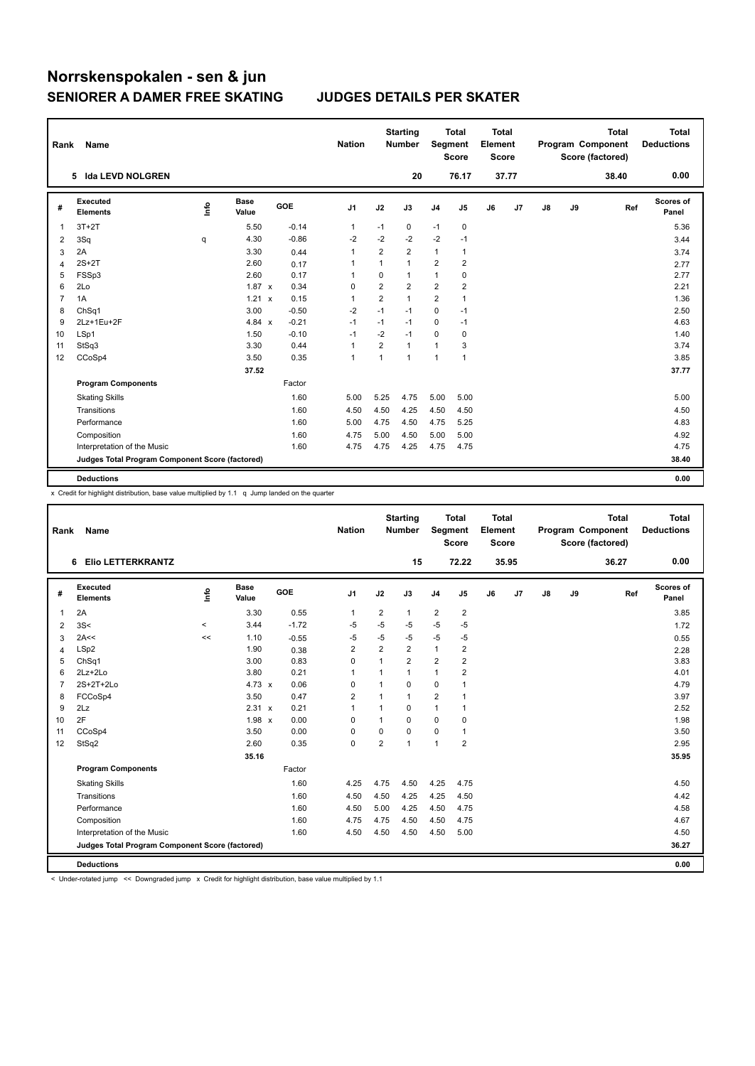| Rank           | Name                                            |      |               |         | <b>Nation</b> |                | <b>Starting</b><br><b>Number</b> | Segment        | <b>Total</b><br><b>Score</b> | <b>Total</b><br>Element<br><b>Score</b> |       |               |    | <b>Total</b><br>Program Component<br>Score (factored) | <b>Total</b><br><b>Deductions</b> |
|----------------|-------------------------------------------------|------|---------------|---------|---------------|----------------|----------------------------------|----------------|------------------------------|-----------------------------------------|-------|---------------|----|-------------------------------------------------------|-----------------------------------|
|                | 5 Ida LEVD NOLGREN                              |      |               |         |               |                | 20                               |                | 76.17                        |                                         | 37.77 |               |    | 38.40                                                 | 0.00                              |
| #              | Executed<br><b>Elements</b>                     | ١nfo | Base<br>Value | GOE     | J1            | J2             | J3                               | J <sub>4</sub> | J5                           | J6                                      | J7    | $\mathsf{J}8$ | J9 | Ref                                                   | Scores of<br>Panel                |
| 1              | $3T+2T$                                         |      | 5.50          | $-0.14$ | $\mathbf{1}$  | $-1$           | 0                                | $-1$           | 0                            |                                         |       |               |    |                                                       | 5.36                              |
| 2              | 3Sq                                             | q    | 4.30          | $-0.86$ | $-2$          | $-2$           | $-2$                             | $-2$           | $-1$                         |                                         |       |               |    |                                                       | 3.44                              |
| 3              | 2A                                              |      | 3.30          | 0.44    | 1             | $\overline{2}$ | $\overline{2}$                   | $\mathbf{1}$   | 1                            |                                         |       |               |    |                                                       | 3.74                              |
| 4              | $2S+2T$                                         |      | 2.60          | 0.17    | $\mathbf{1}$  | $\mathbf{1}$   | 1                                | $\overline{2}$ | $\overline{2}$               |                                         |       |               |    |                                                       | 2.77                              |
| 5              | FSSp3                                           |      | 2.60          | 0.17    | 1             | $\mathbf 0$    | 1                                | $\mathbf{1}$   | 0                            |                                         |       |               |    |                                                       | 2.77                              |
| 6              | 2Lo                                             |      | $1.87 \times$ | 0.34    | 0             | $\overline{2}$ | $\overline{2}$                   | 2              | $\overline{\mathbf{c}}$      |                                         |       |               |    |                                                       | 2.21                              |
| $\overline{7}$ | 1A                                              |      | 1.21 x        | 0.15    | $\mathbf{1}$  | $\overline{2}$ | $\mathbf{1}$                     | 2              | $\mathbf{1}$                 |                                         |       |               |    |                                                       | 1.36                              |
| 8              | ChSq1                                           |      | 3.00          | $-0.50$ | $-2$          | $-1$           | $-1$                             | 0              | $-1$                         |                                         |       |               |    |                                                       | 2.50                              |
| 9              | 2Lz+1Eu+2F                                      |      | 4.84 x        | $-0.21$ | $-1$          | $-1$           | $-1$                             | 0              | $-1$                         |                                         |       |               |    |                                                       | 4.63                              |
| 10             | LSp1                                            |      | 1.50          | $-0.10$ | $-1$          | $-2$           | $-1$                             | 0              | 0                            |                                         |       |               |    |                                                       | 1.40                              |
| 11             | StSq3                                           |      | 3.30          | 0.44    | $\mathbf{1}$  | $\overline{2}$ | 1                                | $\mathbf{1}$   | 3                            |                                         |       |               |    |                                                       | 3.74                              |
| 12             | CCoSp4                                          |      | 3.50          | 0.35    | $\mathbf{1}$  | 1              | 1                                | $\mathbf{1}$   | $\mathbf{1}$                 |                                         |       |               |    |                                                       | 3.85                              |
|                |                                                 |      | 37.52         |         |               |                |                                  |                |                              |                                         |       |               |    |                                                       | 37.77                             |
|                | <b>Program Components</b>                       |      |               | Factor  |               |                |                                  |                |                              |                                         |       |               |    |                                                       |                                   |
|                | <b>Skating Skills</b>                           |      |               | 1.60    | 5.00          | 5.25           | 4.75                             | 5.00           | 5.00                         |                                         |       |               |    |                                                       | 5.00                              |
|                | Transitions                                     |      |               | 1.60    | 4.50          | 4.50           | 4.25                             | 4.50           | 4.50                         |                                         |       |               |    |                                                       | 4.50                              |
|                | Performance                                     |      |               | 1.60    | 5.00          | 4.75           | 4.50                             | 4.75           | 5.25                         |                                         |       |               |    |                                                       | 4.83                              |
|                | Composition                                     |      |               | 1.60    | 4.75          | 5.00           | 4.50                             | 5.00           | 5.00                         |                                         |       |               |    |                                                       | 4.92                              |
|                | Interpretation of the Music                     |      |               | 1.60    | 4.75          | 4.75           | 4.25                             | 4.75           | 4.75                         |                                         |       |               |    |                                                       | 4.75                              |
|                | Judges Total Program Component Score (factored) |      |               |         |               |                |                                  |                |                              |                                         |       |               |    |                                                       | 38.40                             |
|                | <b>Deductions</b>                               |      |               |         |               |                |                                  |                |                              |                                         |       |               |    |                                                       | 0.00                              |

x Credit for highlight distribution, base value multiplied by 1.1 q Jump landed on the quarter

| Rank           | Name                                            |          |                      |         | <b>Nation</b>  |                | <b>Starting</b><br><b>Number</b> |                | <b>Total</b><br>Segment<br><b>Score</b> | <b>Total</b><br>Element<br><b>Score</b> |                |               |    | <b>Total</b><br>Program Component<br>Score (factored) | <b>Total</b><br><b>Deductions</b> |
|----------------|-------------------------------------------------|----------|----------------------|---------|----------------|----------------|----------------------------------|----------------|-----------------------------------------|-----------------------------------------|----------------|---------------|----|-------------------------------------------------------|-----------------------------------|
|                | <b>Elio LETTERKRANTZ</b><br>6                   |          |                      |         |                |                | 15                               |                | 72.22                                   |                                         | 35.95          |               |    | 36.27                                                 | 0.00                              |
| #              | Executed<br><b>Elements</b>                     | lnfo     | <b>Base</b><br>Value | GOE     | J <sub>1</sub> | J2             | J3                               | J <sub>4</sub> | J <sub>5</sub>                          | J6                                      | J <sub>7</sub> | $\mathsf{J}8$ | J9 | Ref                                                   | <b>Scores of</b><br>Panel         |
| 1              | 2A                                              |          | 3.30                 | 0.55    | $\overline{1}$ | $\overline{2}$ | 1                                | $\overline{2}$ | $\overline{2}$                          |                                         |                |               |    |                                                       | 3.85                              |
| $\overline{2}$ | 3S<                                             | $\hat{}$ | 3.44                 | $-1.72$ | $-5$           | $-5$           | $-5$                             | $-5$           | $-5$                                    |                                         |                |               |    |                                                       | 1.72                              |
| 3              | 2A<<                                            | <<       | 1.10                 | $-0.55$ | -5             | $-5$           | -5                               | $-5$           | -5                                      |                                         |                |               |    |                                                       | 0.55                              |
| $\overline{4}$ | LSp2                                            |          | 1.90                 | 0.38    | $\overline{2}$ | $\overline{2}$ | $\overline{2}$                   | $\mathbf{1}$   | $\overline{\mathbf{c}}$                 |                                         |                |               |    |                                                       | 2.28                              |
| 5              | ChSq1                                           |          | 3.00                 | 0.83    | $\mathbf 0$    | $\mathbf{1}$   | $\overline{2}$                   | $\overline{2}$ | $\overline{2}$                          |                                         |                |               |    |                                                       | 3.83                              |
| 6              | $2Lz + 2Lo$                                     |          | 3.80                 | 0.21    | 1              | 1              | $\mathbf{1}$                     | 1              | $\overline{\mathbf{c}}$                 |                                         |                |               |    |                                                       | 4.01                              |
| $\overline{7}$ | 2S+2T+2Lo                                       |          | 4.73 $\times$        | 0.06    | 0              | 1              | $\mathbf 0$                      | $\mathbf 0$    | 1                                       |                                         |                |               |    |                                                       | 4.79                              |
| 8              | FCCoSp4                                         |          | 3.50                 | 0.47    | $\overline{2}$ | 1              | 1                                | 2              | $\mathbf{1}$                            |                                         |                |               |    |                                                       | 3.97                              |
| 9              | 2Lz                                             |          | 2.31 x               | 0.21    | $\overline{1}$ | 1              | $\Omega$                         | 1              | 1                                       |                                         |                |               |    |                                                       | 2.52                              |
| 10             | 2F                                              |          | 1.98 x               | 0.00    | 0              | 1              | $\Omega$                         | 0              | 0                                       |                                         |                |               |    |                                                       | 1.98                              |
| 11             | CCoSp4                                          |          | 3.50                 | 0.00    | 0              | $\mathbf 0$    | $\Omega$                         | 0              | $\mathbf{1}$                            |                                         |                |               |    |                                                       | 3.50                              |
| 12             | StSq2                                           |          | 2.60                 | 0.35    | $\mathbf 0$    | $\overline{2}$ | $\mathbf{1}$                     | 1              | $\overline{2}$                          |                                         |                |               |    |                                                       | 2.95                              |
|                |                                                 |          | 35.16                |         |                |                |                                  |                |                                         |                                         |                |               |    |                                                       | 35.95                             |
|                | <b>Program Components</b>                       |          |                      | Factor  |                |                |                                  |                |                                         |                                         |                |               |    |                                                       |                                   |
|                | <b>Skating Skills</b>                           |          |                      | 1.60    | 4.25           | 4.75           | 4.50                             | 4.25           | 4.75                                    |                                         |                |               |    |                                                       | 4.50                              |
|                | Transitions                                     |          |                      | 1.60    | 4.50           | 4.50           | 4.25                             | 4.25           | 4.50                                    |                                         |                |               |    |                                                       | 4.42                              |
|                | Performance                                     |          |                      | 1.60    | 4.50           | 5.00           | 4.25                             | 4.50           | 4.75                                    |                                         |                |               |    |                                                       | 4.58                              |
|                | Composition                                     |          |                      | 1.60    | 4.75           | 4.75           | 4.50                             | 4.50           | 4.75                                    |                                         |                |               |    |                                                       | 4.67                              |
|                | Interpretation of the Music                     |          |                      | 1.60    | 4.50           | 4.50           | 4.50                             | 4.50           | 5.00                                    |                                         |                |               |    |                                                       | 4.50                              |
|                | Judges Total Program Component Score (factored) |          |                      |         |                |                |                                  |                |                                         |                                         |                |               |    |                                                       | 36.27                             |
|                | <b>Deductions</b>                               |          |                      |         |                |                |                                  |                |                                         |                                         |                |               |    |                                                       | 0.00                              |

< Under-rotated jump << Downgraded jump x Credit for highlight distribution, base value multiplied by 1.1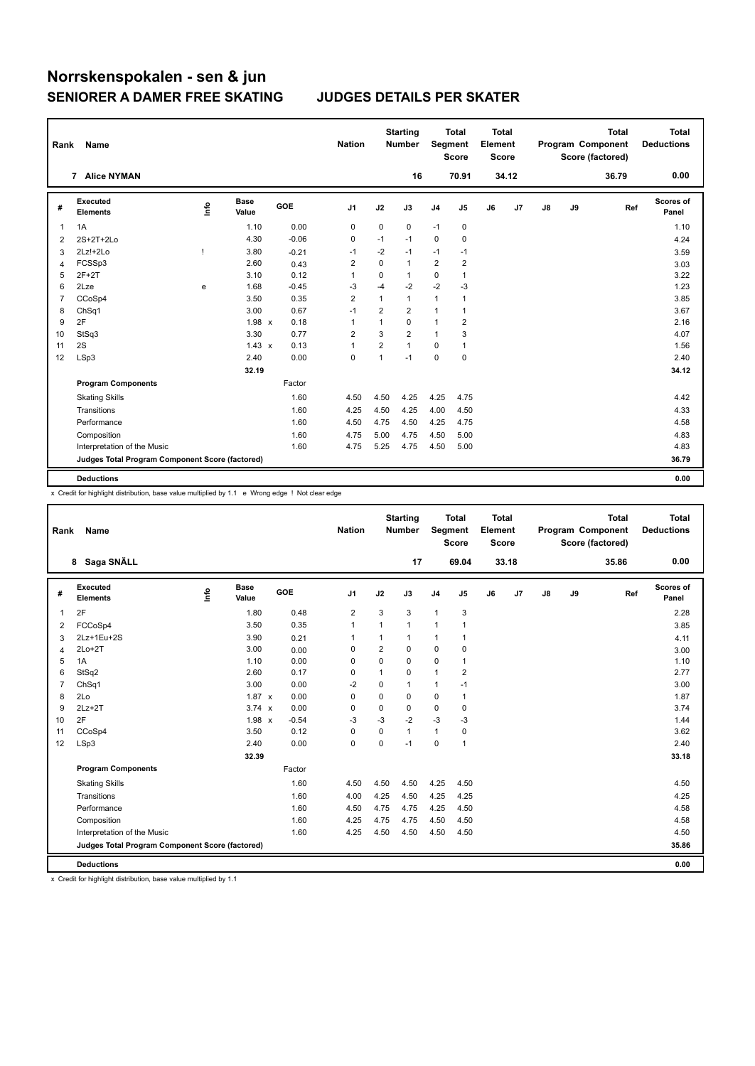| Rank           | Name                                            |      |                      |         | <b>Nation</b>  |                | <b>Starting</b><br><b>Number</b> | Segment        | <b>Total</b><br><b>Score</b> | <b>Total</b><br>Element<br><b>Score</b> |       |    |    | <b>Total</b><br>Program Component<br>Score (factored) | <b>Total</b><br><b>Deductions</b> |
|----------------|-------------------------------------------------|------|----------------------|---------|----------------|----------------|----------------------------------|----------------|------------------------------|-----------------------------------------|-------|----|----|-------------------------------------------------------|-----------------------------------|
|                | 7 Alice NYMAN                                   |      |                      |         |                |                | 16                               |                | 70.91                        |                                         | 34.12 |    |    | 36.79                                                 | 0.00                              |
| #              | <b>Executed</b><br><b>Elements</b>              | lnfo | <b>Base</b><br>Value | GOE     | J1             | J2             | J3                               | J <sub>4</sub> | J5                           | J6                                      | J7    | J8 | J9 | Ref                                                   | Scores of<br>Panel                |
| 1              | 1A                                              |      | 1.10                 | 0.00    | 0              | 0              | 0                                | $-1$           | 0                            |                                         |       |    |    |                                                       | 1.10                              |
| 2              | 2S+2T+2Lo                                       |      | 4.30                 | $-0.06$ | 0              | $-1$           | $-1$                             | $\mathbf 0$    | 0                            |                                         |       |    |    |                                                       | 4.24                              |
| 3              | $2Lz!+2Lo$                                      |      | 3.80                 | $-0.21$ | -1             | $-2$           | $-1$                             | $-1$           | $-1$                         |                                         |       |    |    |                                                       | 3.59                              |
| $\overline{4}$ | FCSSp3                                          |      | 2.60                 | 0.43    | $\overline{2}$ | $\Omega$       | $\mathbf{1}$                     | $\overline{2}$ | $\overline{\mathbf{c}}$      |                                         |       |    |    |                                                       | 3.03                              |
| 5              | $2F+2T$                                         |      | 3.10                 | 0.12    | $\overline{1}$ | 0              | 1                                | 0              | 1                            |                                         |       |    |    |                                                       | 3.22                              |
| 6              | 2Lze                                            | e    | 1.68                 | $-0.45$ | -3             | $-4$           | $-2$                             | $-2$           | -3                           |                                         |       |    |    |                                                       | 1.23                              |
| $\overline{7}$ | CCoSp4                                          |      | 3.50                 | 0.35    | $\overline{2}$ | $\mathbf{1}$   | $\mathbf{1}$                     | $\mathbf{1}$   | $\mathbf{1}$                 |                                         |       |    |    |                                                       | 3.85                              |
| 8              | ChSq1                                           |      | 3.00                 | 0.67    | $-1$           | 2              | $\overline{2}$                   | $\mathbf{1}$   | 1                            |                                         |       |    |    |                                                       | 3.67                              |
| 9              | 2F                                              |      | 1.98 x               | 0.18    | $\overline{1}$ | 1              | $\mathbf 0$                      | $\mathbf{1}$   | 2                            |                                         |       |    |    |                                                       | 2.16                              |
| 10             | StSq3                                           |      | 3.30                 | 0.77    | $\overline{2}$ | 3              | $\overline{2}$                   | $\mathbf{1}$   | 3                            |                                         |       |    |    |                                                       | 4.07                              |
| 11             | 2S                                              |      | $1.43 \times$        | 0.13    | $\overline{1}$ | $\overline{2}$ | $\mathbf{1}$                     | 0              | 1                            |                                         |       |    |    |                                                       | 1.56                              |
| 12             | LSp3                                            |      | 2.40                 | 0.00    | 0              | 1              | $-1$                             | $\mathbf 0$    | $\mathbf 0$                  |                                         |       |    |    |                                                       | 2.40                              |
|                |                                                 |      | 32.19                |         |                |                |                                  |                |                              |                                         |       |    |    |                                                       | 34.12                             |
|                | <b>Program Components</b>                       |      |                      | Factor  |                |                |                                  |                |                              |                                         |       |    |    |                                                       |                                   |
|                | <b>Skating Skills</b>                           |      |                      | 1.60    | 4.50           | 4.50           | 4.25                             | 4.25           | 4.75                         |                                         |       |    |    |                                                       | 4.42                              |
|                | Transitions                                     |      |                      | 1.60    | 4.25           | 4.50           | 4.25                             | 4.00           | 4.50                         |                                         |       |    |    |                                                       | 4.33                              |
|                | Performance                                     |      |                      | 1.60    | 4.50           | 4.75           | 4.50                             | 4.25           | 4.75                         |                                         |       |    |    |                                                       | 4.58                              |
|                | Composition                                     |      |                      | 1.60    | 4.75           | 5.00           | 4.75                             | 4.50           | 5.00                         |                                         |       |    |    |                                                       | 4.83                              |
|                | Interpretation of the Music                     |      |                      | 1.60    | 4.75           | 5.25           | 4.75                             | 4.50           | 5.00                         |                                         |       |    |    |                                                       | 4.83                              |
|                | Judges Total Program Component Score (factored) |      |                      |         |                |                |                                  |                |                              |                                         |       |    |    |                                                       | 36.79                             |
|                | <b>Deductions</b>                               |      |                      |         |                |                |                                  |                |                              |                                         |       |    |    |                                                       | 0.00                              |

x Credit for highlight distribution, base value multiplied by 1.1 e Wrong edge ! Not clear edge

| Rank           | Name                                            |    |                      |            | <b>Nation</b> |             | <b>Starting</b><br><b>Number</b> | Segment        | <b>Total</b><br><b>Score</b> | <b>Total</b><br>Element<br><b>Score</b> |       |    |    | <b>Total</b><br>Program Component<br>Score (factored) | <b>Total</b><br><b>Deductions</b> |
|----------------|-------------------------------------------------|----|----------------------|------------|---------------|-------------|----------------------------------|----------------|------------------------------|-----------------------------------------|-------|----|----|-------------------------------------------------------|-----------------------------------|
|                | Saga SNÄLL<br>8                                 |    |                      |            |               |             | 17                               |                | 69.04                        |                                         | 33.18 |    |    | 35.86                                                 | 0.00                              |
| #              | Executed<br><b>Elements</b>                     | ١m | <b>Base</b><br>Value | <b>GOE</b> | J1            | J2          | J3                               | J <sub>4</sub> | J <sub>5</sub>               | J6                                      | J7    | J8 | J9 | Ref                                                   | Scores of<br>Panel                |
| $\mathbf{1}$   | 2F                                              |    | 1.80                 | 0.48       | 2             | 3           | 3                                | $\mathbf{1}$   | 3                            |                                         |       |    |    |                                                       | 2.28                              |
| 2              | FCCoSp4                                         |    | 3.50                 | 0.35       | $\mathbf{1}$  | 1           | $\mathbf{1}$                     | $\mathbf{1}$   | 1                            |                                         |       |    |    |                                                       | 3.85                              |
| 3              | 2Lz+1Eu+2S                                      |    | 3.90                 | 0.21       | 1             | 1           | 1                                | $\mathbf{1}$   | 1                            |                                         |       |    |    |                                                       | 4.11                              |
| $\overline{4}$ | $2Lo+2T$                                        |    | 3.00                 | 0.00       | $\Omega$      | 2           | $\Omega$                         | $\Omega$       | 0                            |                                         |       |    |    |                                                       | 3.00                              |
| 5              | 1A                                              |    | 1.10                 | 0.00       | 0             | $\Omega$    | $\Omega$                         | 0              | $\mathbf{1}$                 |                                         |       |    |    |                                                       | 1.10                              |
| 6              | StSq2                                           |    | 2.60                 | 0.17       | 0             | 1           | 0                                | 1              | $\overline{\mathbf{c}}$      |                                         |       |    |    |                                                       | 2.77                              |
| 7              | ChSq1                                           |    | 3.00                 | 0.00       | $-2$          | $\mathbf 0$ | $\mathbf{1}$                     | 1              | $-1$                         |                                         |       |    |    |                                                       | 3.00                              |
| 8              | 2Lo                                             |    | $1.87 \times$        | 0.00       | $\mathbf 0$   | 0           | $\mathbf 0$                      | 0              | $\mathbf{1}$                 |                                         |       |    |    |                                                       | 1.87                              |
| 9              | $2Lz+2T$                                        |    | $3.74 \times$        | 0.00       | 0             | $\mathbf 0$ | 0                                | $\mathbf 0$    | $\mathbf 0$                  |                                         |       |    |    |                                                       | 3.74                              |
| 10             | 2F                                              |    | $1.98 \times$        | $-0.54$    | $-3$          | $-3$        | $-2$                             | $-3$           | $-3$                         |                                         |       |    |    |                                                       | 1.44                              |
| 11             | CCoSp4                                          |    | 3.50                 | 0.12       | 0             | 0           | $\mathbf{1}$                     | 1              | 0                            |                                         |       |    |    |                                                       | 3.62                              |
| 12             | LSp3                                            |    | 2.40                 | 0.00       | $\mathbf 0$   | 0           | $-1$                             | $\mathbf 0$    | 1                            |                                         |       |    |    |                                                       | 2.40                              |
|                |                                                 |    | 32.39                |            |               |             |                                  |                |                              |                                         |       |    |    |                                                       | 33.18                             |
|                | <b>Program Components</b>                       |    |                      | Factor     |               |             |                                  |                |                              |                                         |       |    |    |                                                       |                                   |
|                | <b>Skating Skills</b>                           |    |                      | 1.60       | 4.50          | 4.50        | 4.50                             | 4.25           | 4.50                         |                                         |       |    |    |                                                       | 4.50                              |
|                | Transitions                                     |    |                      | 1.60       | 4.00          | 4.25        | 4.50                             | 4.25           | 4.25                         |                                         |       |    |    |                                                       | 4.25                              |
|                | Performance                                     |    |                      | 1.60       | 4.50          | 4.75        | 4.75                             | 4.25           | 4.50                         |                                         |       |    |    |                                                       | 4.58                              |
|                | Composition                                     |    |                      | 1.60       | 4.25          | 4.75        | 4.75                             | 4.50           | 4.50                         |                                         |       |    |    |                                                       | 4.58                              |
|                | Interpretation of the Music                     |    |                      | 1.60       | 4.25          | 4.50        | 4.50                             | 4.50           | 4.50                         |                                         |       |    |    |                                                       | 4.50                              |
|                | Judges Total Program Component Score (factored) |    |                      |            |               |             |                                  |                |                              |                                         |       |    |    |                                                       | 35.86                             |
|                | <b>Deductions</b>                               |    |                      |            |               |             |                                  |                |                              |                                         |       |    |    |                                                       | 0.00                              |

x Credit for highlight distribution, base value multiplied by 1.1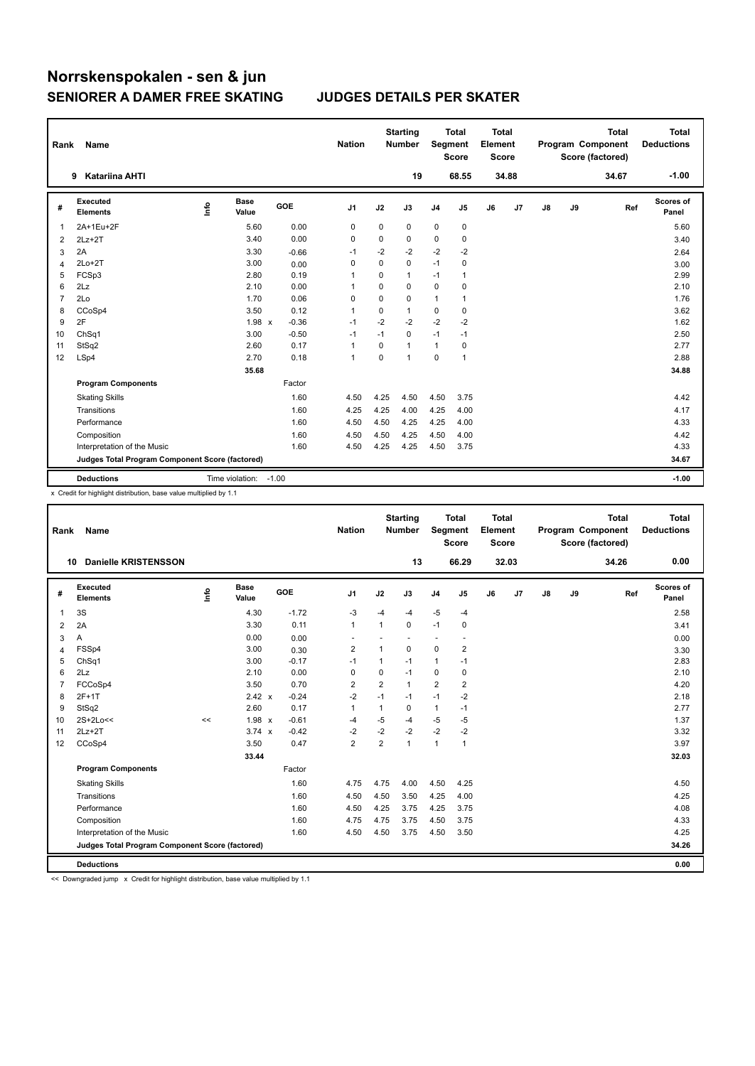| Rank           | Name                                            |      |                      |         | <b>Nation</b>  |             | <b>Starting</b><br><b>Number</b> | Segment        | <b>Total</b><br><b>Score</b> | <b>Total</b><br>Element<br>Score |                |               |    | <b>Total</b><br>Program Component<br>Score (factored) | <b>Total</b><br><b>Deductions</b> |
|----------------|-------------------------------------------------|------|----------------------|---------|----------------|-------------|----------------------------------|----------------|------------------------------|----------------------------------|----------------|---------------|----|-------------------------------------------------------|-----------------------------------|
|                | <b>Katariina AHTI</b><br>9                      |      |                      |         |                |             | 19                               |                | 68.55                        |                                  | 34.88          |               |    | 34.67                                                 | $-1.00$                           |
| #              | <b>Executed</b><br><b>Elements</b>              | lnfo | <b>Base</b><br>Value | GOE     | J1             | J2          | J3                               | J <sub>4</sub> | J <sub>5</sub>               | J6                               | J <sub>7</sub> | $\mathsf{J}8$ | J9 | Ref                                                   | <b>Scores of</b><br>Panel         |
| 1              | 2A+1Eu+2F                                       |      | 5.60                 | 0.00    | 0              | 0           | 0                                | 0              | 0                            |                                  |                |               |    |                                                       | 5.60                              |
| $\overline{2}$ | $2Lz+2T$                                        |      | 3.40                 | 0.00    | $\mathbf 0$    | $\mathbf 0$ | 0                                | 0              | 0                            |                                  |                |               |    |                                                       | 3.40                              |
| 3              | 2A                                              |      | 3.30                 | $-0.66$ | $-1$           | $-2$        | $-2$                             | $-2$           | $-2$                         |                                  |                |               |    |                                                       | 2.64                              |
| 4              | $2Lo+2T$                                        |      | 3.00                 | 0.00    | 0              | 0           | $\mathbf 0$                      | $-1$           | $\mathbf 0$                  |                                  |                |               |    |                                                       | 3.00                              |
| 5              | FCSp3                                           |      | 2.80                 | 0.19    | 1              | $\mathbf 0$ | $\mathbf{1}$                     | $-1$           | 1                            |                                  |                |               |    |                                                       | 2.99                              |
| 6              | 2Lz                                             |      | 2.10                 | 0.00    | 1              | 0           | 0                                | $\mathbf 0$    | 0                            |                                  |                |               |    |                                                       | 2.10                              |
| $\overline{7}$ | 2Lo                                             |      | 1.70                 | 0.06    | $\mathbf 0$    | $\mathbf 0$ | 0                                | $\mathbf{1}$   | $\mathbf{1}$                 |                                  |                |               |    |                                                       | 1.76                              |
| 8              | CCoSp4                                          |      | 3.50                 | 0.12    | $\overline{1}$ | 0           | $\mathbf{1}$                     | $\mathbf 0$    | 0                            |                                  |                |               |    |                                                       | 3.62                              |
| 9              | 2F                                              |      | 1.98 x               | $-0.36$ | $-1$           | $-2$        | $-2$                             | $-2$           | $-2$                         |                                  |                |               |    |                                                       | 1.62                              |
| 10             | ChSq1                                           |      | 3.00                 | $-0.50$ | $-1$           | $-1$        | $\mathbf 0$                      | $-1$           | $-1$                         |                                  |                |               |    |                                                       | 2.50                              |
| 11             | StSq2                                           |      | 2.60                 | 0.17    | $\overline{1}$ | 0           | 1                                | $\mathbf{1}$   | 0                            |                                  |                |               |    |                                                       | 2.77                              |
| 12             | LSp4                                            |      | 2.70                 | 0.18    | $\overline{1}$ | $\Omega$    | $\mathbf{1}$                     | $\mathbf 0$    | $\mathbf{1}$                 |                                  |                |               |    |                                                       | 2.88                              |
|                |                                                 |      | 35.68                |         |                |             |                                  |                |                              |                                  |                |               |    |                                                       | 34.88                             |
|                | <b>Program Components</b>                       |      |                      | Factor  |                |             |                                  |                |                              |                                  |                |               |    |                                                       |                                   |
|                | <b>Skating Skills</b>                           |      |                      | 1.60    | 4.50           | 4.25        | 4.50                             | 4.50           | 3.75                         |                                  |                |               |    |                                                       | 4.42                              |
|                | Transitions                                     |      |                      | 1.60    | 4.25           | 4.25        | 4.00                             | 4.25           | 4.00                         |                                  |                |               |    |                                                       | 4.17                              |
|                | Performance                                     |      |                      | 1.60    | 4.50           | 4.50        | 4.25                             | 4.25           | 4.00                         |                                  |                |               |    |                                                       | 4.33                              |
|                | Composition                                     |      |                      | 1.60    | 4.50           | 4.50        | 4.25                             | 4.50           | 4.00                         |                                  |                |               |    |                                                       | 4.42                              |
|                | Interpretation of the Music                     |      |                      | 1.60    | 4.50           | 4.25        | 4.25                             | 4.50           | 3.75                         |                                  |                |               |    |                                                       | 4.33                              |
|                | Judges Total Program Component Score (factored) |      |                      |         |                |             |                                  |                |                              |                                  |                |               |    |                                                       | 34.67                             |
|                | <b>Deductions</b>                               |      | Time violation:      | $-1.00$ |                |             |                                  |                |                              |                                  |                |               |    |                                                       | $-1.00$                           |

x Credit for highlight distribution, base value multiplied by 1.1

| Rank           | Name                                            |      |                      |            | <b>Nation</b>           |                | <b>Starting</b><br><b>Number</b> | Segment                  | <b>Total</b><br><b>Score</b> | <b>Total</b><br>Element<br><b>Score</b> |       |               |    | <b>Total</b><br>Program Component<br>Score (factored) | <b>Total</b><br><b>Deductions</b> |
|----------------|-------------------------------------------------|------|----------------------|------------|-------------------------|----------------|----------------------------------|--------------------------|------------------------------|-----------------------------------------|-------|---------------|----|-------------------------------------------------------|-----------------------------------|
| 10             | <b>Danielle KRISTENSSON</b>                     |      |                      |            |                         |                | 13                               |                          | 66.29                        |                                         | 32.03 |               |    | 34.26                                                 | 0.00                              |
| #              | Executed<br><b>Elements</b>                     | lnfo | <b>Base</b><br>Value | <b>GOE</b> | J1                      | J2             | J3                               | J <sub>4</sub>           | J5                           | J6                                      | J7    | $\mathsf{J}8$ | J9 | Ref                                                   | Scores of<br>Panel                |
| 1              | 3S                                              |      | 4.30                 | $-1.72$    | $-3$                    | $-4$           | $-4$                             | $-5$                     | $-4$                         |                                         |       |               |    |                                                       | 2.58                              |
| $\overline{2}$ | 2A                                              |      | 3.30                 | 0.11       | $\mathbf{1}$            | 1              | 0                                | $-1$                     | 0                            |                                         |       |               |    |                                                       | 3.41                              |
| 3              | Α                                               |      | 0.00                 | 0.00       |                         |                |                                  | $\overline{\phantom{a}}$ | ٠                            |                                         |       |               |    |                                                       | 0.00                              |
| $\overline{4}$ | FSSp4                                           |      | 3.00                 | 0.30       | $\overline{\mathbf{c}}$ | 1              | $\mathbf 0$                      | $\mathbf 0$              | $\overline{\mathbf{c}}$      |                                         |       |               |    |                                                       | 3.30                              |
| 5              | ChSq1                                           |      | 3.00                 | $-0.17$    | $-1$                    | 1              | $-1$                             | 1                        | $-1$                         |                                         |       |               |    |                                                       | 2.83                              |
| 6              | 2Lz                                             |      | 2.10                 | 0.00       | $\mathbf 0$             | 0              | $-1$                             | $\mathbf 0$              | $\pmb{0}$                    |                                         |       |               |    |                                                       | 2.10                              |
| $\overline{7}$ | FCCoSp4                                         |      | 3.50                 | 0.70       | $\overline{2}$          | $\overline{2}$ | $\mathbf{1}$                     | $\overline{2}$           | $\overline{2}$               |                                         |       |               |    |                                                       | 4.20                              |
| 8              | $2F+1T$                                         |      | $2.42 \times$        | $-0.24$    | $-2$                    | $-1$           | $-1$                             | $-1$                     | $-2$                         |                                         |       |               |    |                                                       | 2.18                              |
| 9              | StSq2                                           |      | 2.60                 | 0.17       | $\mathbf{1}$            | 1              | $\Omega$                         | $\mathbf{1}$             | $-1$                         |                                         |       |               |    |                                                       | 2.77                              |
| 10             | 2S+2Lo<<                                        | <<   | 1.98 x               | $-0.61$    | $-4$                    | $-5$           | $-4$                             | $-5$                     | $-5$                         |                                         |       |               |    |                                                       | 1.37                              |
| 11             | $2Lz+2T$                                        |      | $3.74 \times$        | $-0.42$    | -2                      | $-2$           | $-2$                             | $-2$                     | $-2$                         |                                         |       |               |    |                                                       | 3.32                              |
| 12             | CCoSp4                                          |      | 3.50                 | 0.47       | $\overline{2}$          | $\overline{2}$ | $\mathbf{1}$                     | $\mathbf{1}$             | $\mathbf{1}$                 |                                         |       |               |    |                                                       | 3.97                              |
|                |                                                 |      | 33.44                |            |                         |                |                                  |                          |                              |                                         |       |               |    |                                                       | 32.03                             |
|                | <b>Program Components</b>                       |      |                      | Factor     |                         |                |                                  |                          |                              |                                         |       |               |    |                                                       |                                   |
|                | <b>Skating Skills</b>                           |      |                      | 1.60       | 4.75                    | 4.75           | 4.00                             | 4.50                     | 4.25                         |                                         |       |               |    |                                                       | 4.50                              |
|                | Transitions                                     |      |                      | 1.60       | 4.50                    | 4.50           | 3.50                             | 4.25                     | 4.00                         |                                         |       |               |    |                                                       | 4.25                              |
|                | Performance                                     |      |                      | 1.60       | 4.50                    | 4.25           | 3.75                             | 4.25                     | 3.75                         |                                         |       |               |    |                                                       | 4.08                              |
|                | Composition                                     |      |                      | 1.60       | 4.75                    | 4.75           | 3.75                             | 4.50                     | 3.75                         |                                         |       |               |    |                                                       | 4.33                              |
|                | Interpretation of the Music                     |      |                      | 1.60       | 4.50                    | 4.50           | 3.75                             | 4.50                     | 3.50                         |                                         |       |               |    |                                                       | 4.25                              |
|                | Judges Total Program Component Score (factored) |      |                      |            |                         |                |                                  |                          |                              |                                         |       |               |    |                                                       | 34.26                             |
|                | <b>Deductions</b>                               |      |                      |            |                         |                |                                  |                          |                              |                                         |       |               |    |                                                       | 0.00                              |

<< Downgraded jump x Credit for highlight distribution, base value multiplied by 1.1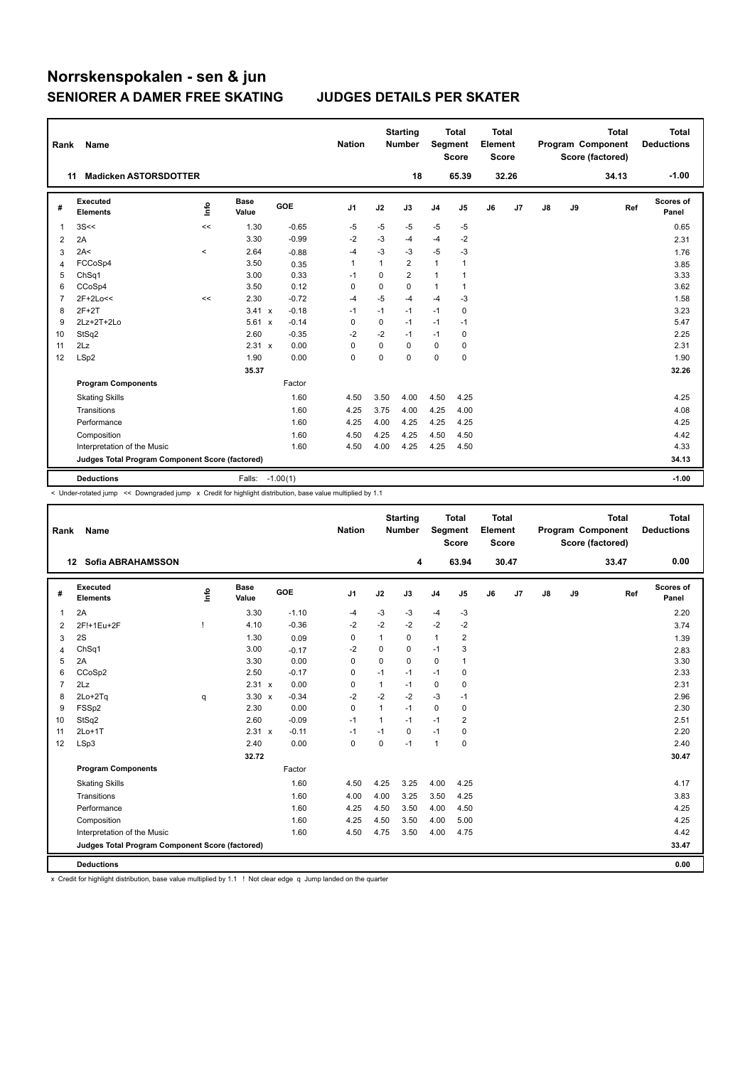| Rank | Name                                            |                          |                      |         | <b>Nation</b> |             | <b>Starting</b><br><b>Number</b> | Segment        | <b>Total</b><br><b>Score</b> | <b>Total</b><br>Element<br>Score |       |    |    | <b>Total</b><br>Program Component<br>Score (factored) | <b>Total</b><br><b>Deductions</b> |
|------|-------------------------------------------------|--------------------------|----------------------|---------|---------------|-------------|----------------------------------|----------------|------------------------------|----------------------------------|-------|----|----|-------------------------------------------------------|-----------------------------------|
|      | <b>Madicken ASTORSDOTTER</b><br>11              |                          |                      |         |               |             | 18                               |                | 65.39                        |                                  | 32.26 |    |    | 34.13                                                 | $-1.00$                           |
| #    | <b>Executed</b><br><b>Elements</b>              | Info                     | <b>Base</b><br>Value | GOE     | J1            | J2          | J3                               | J <sub>4</sub> | J5                           | J6                               | J7    | J8 | J9 | Ref                                                   | Scores of<br>Panel                |
| 1    | 3S<<                                            | <<                       | 1.30                 | $-0.65$ | $-5$          | $-5$        | $-5$                             | $-5$           | -5                           |                                  |       |    |    |                                                       | 0.65                              |
| 2    | 2A                                              |                          | 3.30                 | $-0.99$ | $-2$          | $-3$        | $-4$                             | $-4$           | $-2$                         |                                  |       |    |    |                                                       | 2.31                              |
| 3    | 2A<                                             | $\overline{\phantom{0}}$ | 2.64                 | $-0.88$ | $-4$          | $-3$        | -3                               | $-5$           | -3                           |                                  |       |    |    |                                                       | 1.76                              |
| 4    | FCCoSp4                                         |                          | 3.50                 | 0.35    | $\mathbf{1}$  | 1           | $\overline{2}$                   | $\mathbf{1}$   | $\mathbf{1}$                 |                                  |       |    |    |                                                       | 3.85                              |
| 5    | ChSq1                                           |                          | 3.00                 | 0.33    | $-1$          | 0           | $\overline{2}$                   | $\mathbf{1}$   | 1                            |                                  |       |    |    |                                                       | 3.33                              |
| 6    | CCoSp4                                          |                          | 3.50                 | 0.12    | 0             | 0           | 0                                | 1              | 1                            |                                  |       |    |    |                                                       | 3.62                              |
| 7    | 2F+2Lo<<                                        | <<                       | 2.30                 | $-0.72$ | $-4$          | $-5$        | $-4$                             | $-4$           | $-3$                         |                                  |       |    |    |                                                       | 1.58                              |
| 8    | $2F+2T$                                         |                          | $3.41 \times$        | $-0.18$ | $-1$          | $-1$        | $-1$                             | $-1$           | 0                            |                                  |       |    |    |                                                       | 3.23                              |
| 9    | 2Lz+2T+2Lo                                      |                          | 5.61 x               | $-0.14$ | 0             | $\mathbf 0$ | $-1$                             | $-1$           | $-1$                         |                                  |       |    |    |                                                       | 5.47                              |
| 10   | StSq2                                           |                          | 2.60                 | $-0.35$ | $-2$          | $-2$        | $-1$                             | $-1$           | 0                            |                                  |       |    |    |                                                       | 2.25                              |
| 11   | 2Lz                                             |                          | 2.31 x               | 0.00    | 0             | 0           | 0                                | 0              | 0                            |                                  |       |    |    |                                                       | 2.31                              |
| 12   | LSp2                                            |                          | 1.90                 | 0.00    | $\Omega$      | $\Omega$    | $\Omega$                         | $\Omega$       | $\Omega$                     |                                  |       |    |    |                                                       | 1.90                              |
|      |                                                 |                          | 35.37                |         |               |             |                                  |                |                              |                                  |       |    |    |                                                       | 32.26                             |
|      | <b>Program Components</b>                       |                          |                      | Factor  |               |             |                                  |                |                              |                                  |       |    |    |                                                       |                                   |
|      | <b>Skating Skills</b>                           |                          |                      | 1.60    | 4.50          | 3.50        | 4.00                             | 4.50           | 4.25                         |                                  |       |    |    |                                                       | 4.25                              |
|      | Transitions                                     |                          |                      | 1.60    | 4.25          | 3.75        | 4.00                             | 4.25           | 4.00                         |                                  |       |    |    |                                                       | 4.08                              |
|      | Performance                                     |                          |                      | 1.60    | 4.25          | 4.00        | 4.25                             | 4.25           | 4.25                         |                                  |       |    |    |                                                       | 4.25                              |
|      | Composition                                     |                          |                      | 1.60    | 4.50          | 4.25        | 4.25                             | 4.50           | 4.50                         |                                  |       |    |    |                                                       | 4.42                              |
|      | Interpretation of the Music                     |                          |                      | 1.60    | 4.50          | 4.00        | 4.25                             | 4.25           | 4.50                         |                                  |       |    |    |                                                       | 4.33                              |
|      | Judges Total Program Component Score (factored) |                          |                      |         |               |             |                                  |                |                              |                                  |       |    |    |                                                       | 34.13                             |
|      | <b>Deductions</b>                               |                          | Falls: -1.00(1)      |         |               |             |                                  |                |                              |                                  |       |    |    |                                                       | $-1.00$                           |

< Under-rotated jump << Downgraded jump x Credit for highlight distribution, base value multiplied by 1.1

| Rank           | Name                                            |    |                      |            | <b>Nation</b> |             | <b>Starting</b><br><b>Number</b> | Segment        | <b>Total</b><br><b>Score</b> | <b>Total</b><br>Element<br><b>Score</b> |       |    |    | <b>Total</b><br>Program Component<br>Score (factored) | <b>Total</b><br><b>Deductions</b> |
|----------------|-------------------------------------------------|----|----------------------|------------|---------------|-------------|----------------------------------|----------------|------------------------------|-----------------------------------------|-------|----|----|-------------------------------------------------------|-----------------------------------|
|                | <b>Sofia ABRAHAMSSON</b><br>12 <sup>12</sup>    |    |                      |            |               |             | 4                                |                | 63.94                        |                                         | 30.47 |    |    | 33.47                                                 | 0.00                              |
| #              | Executed<br><b>Elements</b>                     | ١m | <b>Base</b><br>Value | <b>GOE</b> | J1            | J2          | J3                               | J <sub>4</sub> | J <sub>5</sub>               | J6                                      | J7    | J8 | J9 | Ref                                                   | <b>Scores of</b><br>Panel         |
| $\mathbf{1}$   | 2A                                              |    | 3.30                 | $-1.10$    | $-4$          | $-3$        | $-3$                             | $-4$           | -3                           |                                         |       |    |    |                                                       | 2.20                              |
| $\overline{2}$ | 2F!+1Eu+2F                                      |    | 4.10                 | $-0.36$    | $-2$          | $-2$        | $-2$                             | $-2$           | $-2$                         |                                         |       |    |    |                                                       | 3.74                              |
| 3              | 2S                                              |    | 1.30                 | 0.09       | 0             | 1           | 0                                | $\mathbf{1}$   | $\overline{\mathbf{c}}$      |                                         |       |    |    |                                                       | 1.39                              |
| $\overline{4}$ | ChSq1                                           |    | 3.00                 | $-0.17$    | -2            | $\mathbf 0$ | 0                                | $-1$           | 3                            |                                         |       |    |    |                                                       | 2.83                              |
| 5              | 2A                                              |    | 3.30                 | 0.00       | 0             | $\mathbf 0$ | $\Omega$                         | 0              | 1                            |                                         |       |    |    |                                                       | 3.30                              |
| 6              | CCoSp2                                          |    | 2.50                 | $-0.17$    | 0             | $-1$        | $-1$                             | $-1$           | 0                            |                                         |       |    |    |                                                       | 2.33                              |
| $\overline{7}$ | 2Lz                                             |    | 2.31 x               | 0.00       | $\mathbf 0$   | 1           | $-1$                             | 0              | $\mathbf 0$                  |                                         |       |    |    |                                                       | 2.31                              |
| 8              | 2Lo+2Tq                                         | q  | $3.30 \times$        | $-0.34$    | $-2$          | $-2$        | $-2$                             | $-3$           | $-1$                         |                                         |       |    |    |                                                       | 2.96                              |
| 9              | FSSp2                                           |    | 2.30                 | 0.00       | $\Omega$      | 1           | $-1$                             | 0              | 0                            |                                         |       |    |    |                                                       | 2.30                              |
| 10             | StSq2                                           |    | 2.60                 | $-0.09$    | $-1$          | 1           | $-1$                             | $-1$           | $\overline{2}$               |                                         |       |    |    |                                                       | 2.51                              |
| 11             | $2Lo+1T$                                        |    | 2.31 x               | $-0.11$    | -1            | $-1$        | $\mathbf 0$                      | $-1$           | $\pmb{0}$                    |                                         |       |    |    |                                                       | 2.20                              |
| 12             | LSp3                                            |    | 2.40                 | 0.00       | $\mathbf 0$   | $\mathbf 0$ | $-1$                             | $\mathbf{1}$   | $\mathbf 0$                  |                                         |       |    |    |                                                       | 2.40                              |
|                |                                                 |    | 32.72                |            |               |             |                                  |                |                              |                                         |       |    |    |                                                       | 30.47                             |
|                | <b>Program Components</b>                       |    |                      | Factor     |               |             |                                  |                |                              |                                         |       |    |    |                                                       |                                   |
|                | <b>Skating Skills</b>                           |    |                      | 1.60       | 4.50          | 4.25        | 3.25                             | 4.00           | 4.25                         |                                         |       |    |    |                                                       | 4.17                              |
|                | Transitions                                     |    |                      | 1.60       | 4.00          | 4.00        | 3.25                             | 3.50           | 4.25                         |                                         |       |    |    |                                                       | 3.83                              |
|                | Performance                                     |    |                      | 1.60       | 4.25          | 4.50        | 3.50                             | 4.00           | 4.50                         |                                         |       |    |    |                                                       | 4.25                              |
|                | Composition                                     |    |                      | 1.60       | 4.25          | 4.50        | 3.50                             | 4.00           | 5.00                         |                                         |       |    |    |                                                       | 4.25                              |
|                | Interpretation of the Music                     |    |                      | 1.60       | 4.50          | 4.75        | 3.50                             | 4.00           | 4.75                         |                                         |       |    |    |                                                       | 4.42                              |
|                | Judges Total Program Component Score (factored) |    |                      |            |               |             |                                  |                |                              |                                         |       |    |    |                                                       | 33.47                             |
|                | <b>Deductions</b>                               |    |                      |            |               |             |                                  |                |                              |                                         |       |    |    |                                                       | 0.00                              |

x Credit for highlight distribution, base value multiplied by 1.1 ! Not clear edge q Jump landed on the quarter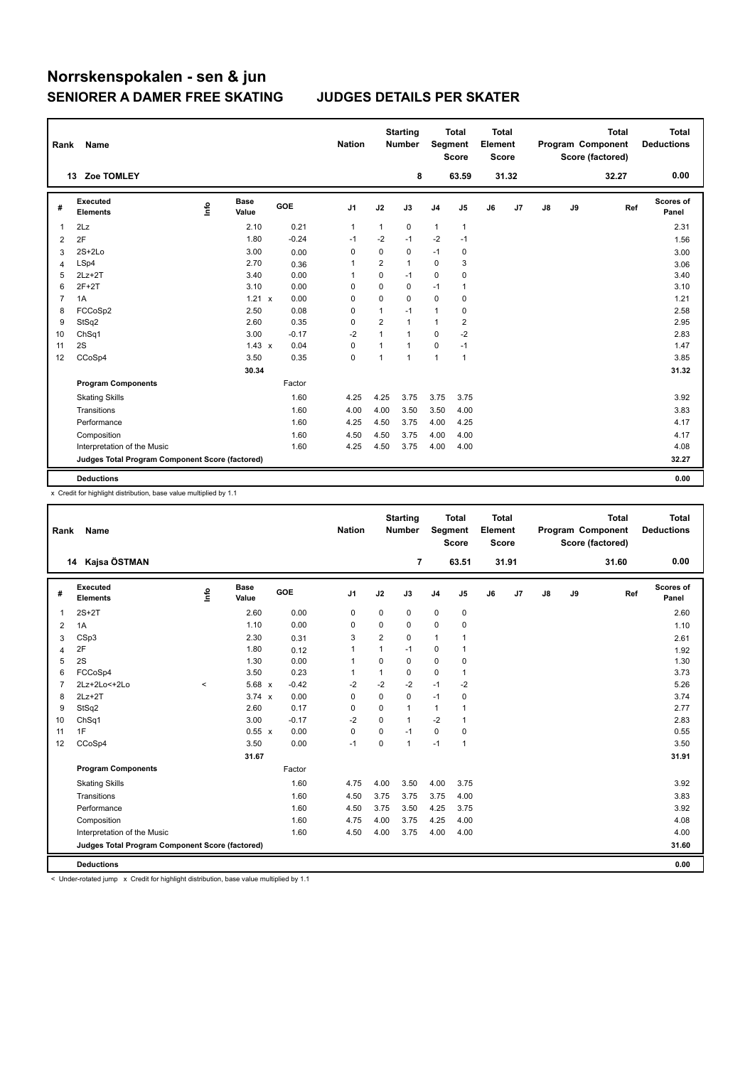| Rank           | Name                                            |      |               |         | <b>Nation</b>  |                | <b>Starting</b><br><b>Number</b> | Segment        | <b>Total</b><br><b>Score</b> | <b>Total</b><br>Element<br><b>Score</b> |       |               |    | <b>Total</b><br>Program Component<br>Score (factored) | <b>Total</b><br><b>Deductions</b> |
|----------------|-------------------------------------------------|------|---------------|---------|----------------|----------------|----------------------------------|----------------|------------------------------|-----------------------------------------|-------|---------------|----|-------------------------------------------------------|-----------------------------------|
|                | 13 Zoe TOMLEY                                   |      |               |         |                |                | 8                                |                | 63.59                        |                                         | 31.32 |               |    | 32.27                                                 | 0.00                              |
| #              | Executed<br><b>Elements</b>                     | ١nfo | Base<br>Value | GOE     | J1             | J2             | J3                               | J <sub>4</sub> | J5                           | J6                                      | J7    | $\mathsf{J}8$ | J9 | Ref                                                   | <b>Scores of</b><br>Panel         |
| 1              | 2Lz                                             |      | 2.10          | 0.21    | $\mathbf{1}$   | $\mathbf{1}$   | 0                                | $\mathbf{1}$   | $\mathbf{1}$                 |                                         |       |               |    |                                                       | 2.31                              |
| 2              | 2F                                              |      | 1.80          | $-0.24$ | $-1$           | $-2$           | $-1$                             | $-2$           | $-1$                         |                                         |       |               |    |                                                       | 1.56                              |
| 3              | $2S+2Lo$                                        |      | 3.00          | 0.00    | 0              | 0              | 0                                | $-1$           | 0                            |                                         |       |               |    |                                                       | 3.00                              |
| 4              | LSp4                                            |      | 2.70          | 0.36    | $\overline{1}$ | $\overline{2}$ | 1                                | $\Omega$       | 3                            |                                         |       |               |    |                                                       | 3.06                              |
| 5              | $2Lz + 2T$                                      |      | 3.40          | 0.00    | $\overline{1}$ | 0              | $-1$                             | $\mathbf 0$    | 0                            |                                         |       |               |    |                                                       | 3.40                              |
| 6              | $2F+2T$                                         |      | 3.10          | 0.00    | $\mathbf 0$    | $\mathbf 0$    | 0                                | $-1$           | 1                            |                                         |       |               |    |                                                       | 3.10                              |
| $\overline{7}$ | 1A                                              |      | 1.21 x        | 0.00    | 0              | $\Omega$       | 0                                | $\mathbf 0$    | 0                            |                                         |       |               |    |                                                       | 1.21                              |
| 8              | FCCoSp2                                         |      | 2.50          | 0.08    | 0              | 1              | $-1$                             | $\mathbf{1}$   | 0                            |                                         |       |               |    |                                                       | 2.58                              |
| 9              | StSq2                                           |      | 2.60          | 0.35    | 0              | $\overline{2}$ | 1                                | $\mathbf{1}$   | 2                            |                                         |       |               |    |                                                       | 2.95                              |
| 10             | Ch <sub>Sq1</sub>                               |      | 3.00          | $-0.17$ | $-2$           | 1              | 1                                | 0              | $-2$                         |                                         |       |               |    |                                                       | 2.83                              |
| 11             | 2S                                              |      | $1.43 \times$ | 0.04    | $\mathbf 0$    | 1              | 1                                | $\mathbf 0$    | $-1$                         |                                         |       |               |    |                                                       | 1.47                              |
| 12             | CCoSp4                                          |      | 3.50          | 0.35    | $\mathbf 0$    | $\mathbf{1}$   | 1                                | $\mathbf{1}$   | $\mathbf{1}$                 |                                         |       |               |    |                                                       | 3.85                              |
|                |                                                 |      | 30.34         |         |                |                |                                  |                |                              |                                         |       |               |    |                                                       | 31.32                             |
|                | <b>Program Components</b>                       |      |               | Factor  |                |                |                                  |                |                              |                                         |       |               |    |                                                       |                                   |
|                | <b>Skating Skills</b>                           |      |               | 1.60    | 4.25           | 4.25           | 3.75                             | 3.75           | 3.75                         |                                         |       |               |    |                                                       | 3.92                              |
|                | Transitions                                     |      |               | 1.60    | 4.00           | 4.00           | 3.50                             | 3.50           | 4.00                         |                                         |       |               |    |                                                       | 3.83                              |
|                | Performance                                     |      |               | 1.60    | 4.25           | 4.50           | 3.75                             | 4.00           | 4.25                         |                                         |       |               |    |                                                       | 4.17                              |
|                | Composition                                     |      |               | 1.60    | 4.50           | 4.50           | 3.75                             | 4.00           | 4.00                         |                                         |       |               |    |                                                       | 4.17                              |
|                | Interpretation of the Music                     |      |               | 1.60    | 4.25           | 4.50           | 3.75                             | 4.00           | 4.00                         |                                         |       |               |    |                                                       | 4.08                              |
|                | Judges Total Program Component Score (factored) |      |               |         |                |                |                                  |                |                              |                                         |       |               |    |                                                       | 32.27                             |
|                | <b>Deductions</b>                               |      |               |         |                |                |                                  |                |                              |                                         |       |               |    |                                                       | 0.00                              |

x Credit for highlight distribution, base value multiplied by 1.1

| Rank           | Name                                            |       |               |         | <b>Nation</b>  |                | <b>Starting</b><br><b>Number</b> | <b>Segment</b> | <b>Total</b><br><b>Score</b> | <b>Total</b><br>Element<br><b>Score</b> |                |               |    | <b>Total</b><br>Program Component<br>Score (factored) | <b>Total</b><br><b>Deductions</b> |
|----------------|-------------------------------------------------|-------|---------------|---------|----------------|----------------|----------------------------------|----------------|------------------------------|-----------------------------------------|----------------|---------------|----|-------------------------------------------------------|-----------------------------------|
|                | Kajsa ÖSTMAN<br>14                              |       |               |         |                |                | 7                                |                | 63.51                        |                                         | 31.91          |               |    | 31.60                                                 | 0.00                              |
| #              | Executed<br><b>Elements</b>                     | ١mfo  | Base<br>Value | GOE     | J <sub>1</sub> | J2             | J3                               | J <sub>4</sub> | J <sub>5</sub>               | J6                                      | J <sub>7</sub> | $\mathsf{J}8$ | J9 | Ref                                                   | Scores of<br>Panel                |
| 1              | $2S+2T$                                         |       | 2.60          | 0.00    | 0              | 0              | 0                                | $\mathbf 0$    | 0                            |                                         |                |               |    |                                                       | 2.60                              |
| $\overline{2}$ | 1A                                              |       | 1.10          | 0.00    | 0              | 0              | 0                                | 0              | 0                            |                                         |                |               |    |                                                       | 1.10                              |
| 3              | CSp3                                            |       | 2.30          | 0.31    | 3              | $\overline{2}$ | 0                                | $\mathbf{1}$   | 1                            |                                         |                |               |    |                                                       | 2.61                              |
| 4              | 2F                                              |       | 1.80          | 0.12    | $\mathbf{1}$   | $\mathbf{1}$   | $-1$                             | 0              | $\overline{1}$               |                                         |                |               |    |                                                       | 1.92                              |
| 5              | 2S                                              |       | 1.30          | 0.00    | $\mathbf{1}$   | $\Omega$       | $\Omega$                         | 0              | 0                            |                                         |                |               |    |                                                       | 1.30                              |
| 6              | FCCoSp4                                         |       | 3.50          | 0.23    | $\mathbf 1$    | $\mathbf{1}$   | 0                                | 0              | $\mathbf{1}$                 |                                         |                |               |    |                                                       | 3.73                              |
| $\overline{7}$ | 2Lz+2Lo<+2Lo                                    | $\,<$ | 5.68 x        | $-0.42$ | $-2$           | $-2$           | $-2$                             | $-1$           | $-2$                         |                                         |                |               |    |                                                       | 5.26                              |
| 8              | $2Lz+2T$                                        |       | $3.74 \times$ | 0.00    | 0              | 0              | 0                                | $-1$           | 0                            |                                         |                |               |    |                                                       | 3.74                              |
| 9              | StSq2                                           |       | 2.60          | 0.17    | $\Omega$       | $\Omega$       | $\mathbf{1}$                     | $\mathbf{1}$   | 1                            |                                         |                |               |    |                                                       | 2.77                              |
| 10             | Ch <sub>Sq1</sub>                               |       | 3.00          | $-0.17$ | $-2$           | 0              | 1                                | $-2$           | $\overline{1}$               |                                         |                |               |    |                                                       | 2.83                              |
| 11             | 1F                                              |       | $0.55 \times$ | 0.00    | $\mathbf 0$    | 0              | $-1$                             | $\mathbf 0$    | $\mathbf 0$                  |                                         |                |               |    |                                                       | 0.55                              |
| 12             | CCoSp4                                          |       | 3.50          | 0.00    | $-1$           | 0              | $\mathbf{1}$                     | $-1$           | $\overline{1}$               |                                         |                |               |    |                                                       | 3.50                              |
|                |                                                 |       | 31.67         |         |                |                |                                  |                |                              |                                         |                |               |    |                                                       | 31.91                             |
|                | <b>Program Components</b>                       |       |               | Factor  |                |                |                                  |                |                              |                                         |                |               |    |                                                       |                                   |
|                | <b>Skating Skills</b>                           |       |               | 1.60    | 4.75           | 4.00           | 3.50                             | 4.00           | 3.75                         |                                         |                |               |    |                                                       | 3.92                              |
|                | Transitions                                     |       |               | 1.60    | 4.50           | 3.75           | 3.75                             | 3.75           | 4.00                         |                                         |                |               |    |                                                       | 3.83                              |
|                | Performance                                     |       |               | 1.60    | 4.50           | 3.75           | 3.50                             | 4.25           | 3.75                         |                                         |                |               |    |                                                       | 3.92                              |
|                | Composition                                     |       |               | 1.60    | 4.75           | 4.00           | 3.75                             | 4.25           | 4.00                         |                                         |                |               |    |                                                       | 4.08                              |
|                | Interpretation of the Music                     |       |               | 1.60    | 4.50           | 4.00           | 3.75                             | 4.00           | 4.00                         |                                         |                |               |    |                                                       | 4.00                              |
|                | Judges Total Program Component Score (factored) |       |               |         |                |                |                                  |                |                              |                                         |                |               |    |                                                       | 31.60                             |
|                | <b>Deductions</b>                               |       |               |         |                |                |                                  |                |                              |                                         |                |               |    |                                                       | 0.00                              |

< Under-rotated jump x Credit for highlight distribution, base value multiplied by 1.1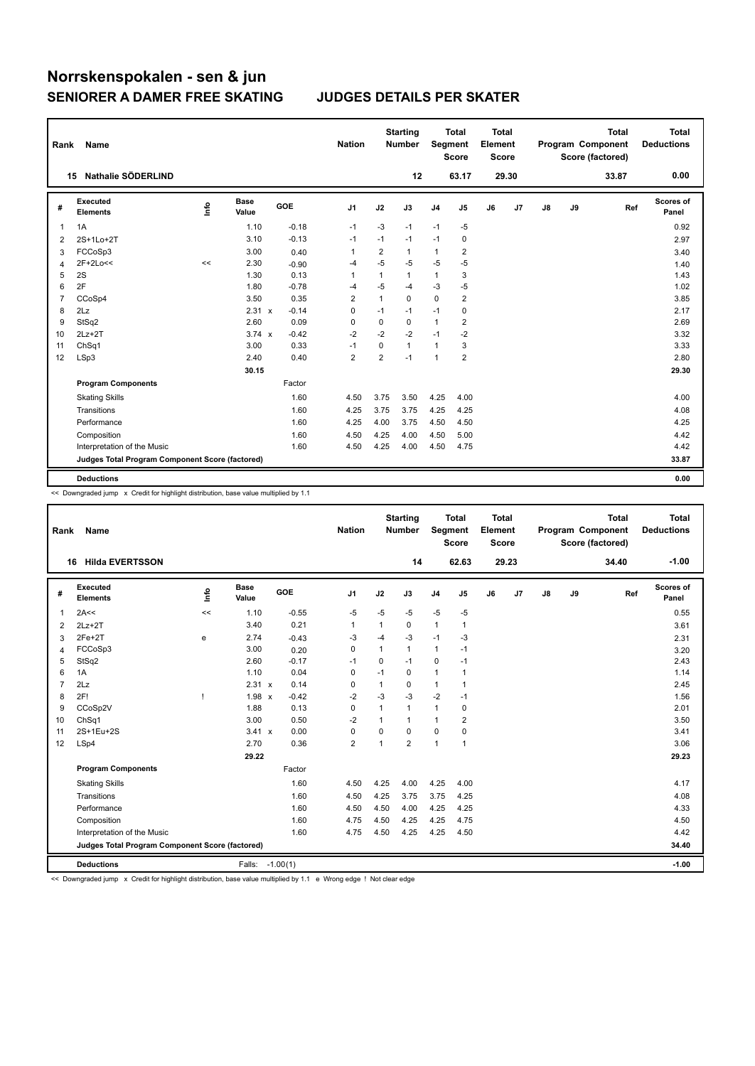| Rank           | Name                                            |      |               |         | <b>Nation</b>  |                | <b>Starting</b><br><b>Number</b> | Segment        | <b>Total</b><br><b>Score</b> | <b>Total</b><br>Element<br><b>Score</b> |       |               |    | <b>Total</b><br>Program Component<br>Score (factored) | <b>Total</b><br><b>Deductions</b> |
|----------------|-------------------------------------------------|------|---------------|---------|----------------|----------------|----------------------------------|----------------|------------------------------|-----------------------------------------|-------|---------------|----|-------------------------------------------------------|-----------------------------------|
|                | 15 Nathalie SÖDERLIND                           |      |               |         |                |                | 12                               |                | 63.17                        |                                         | 29.30 |               |    | 33.87                                                 | 0.00                              |
| #              | Executed<br><b>Elements</b>                     | ١nfo | Base<br>Value | GOE     | J1             | J2             | J3                               | J <sub>4</sub> | J5                           | J6                                      | J7    | $\mathsf{J}8$ | J9 | Ref                                                   | <b>Scores of</b><br>Panel         |
| 1              | 1A                                              |      | 1.10          | $-0.18$ | $-1$           | $-3$           | $-1$                             | $-1$           | $-5$                         |                                         |       |               |    |                                                       | 0.92                              |
| 2              | 2S+1Lo+2T                                       |      | 3.10          | $-0.13$ | $-1$           | $-1$           | $-1$                             | $-1$           | 0                            |                                         |       |               |    |                                                       | 2.97                              |
| 3              | FCCoSp3                                         |      | 3.00          | 0.40    | $\mathbf{1}$   | $\overline{2}$ | 1                                | $\mathbf{1}$   | $\overline{\mathbf{c}}$      |                                         |       |               |    |                                                       | 3.40                              |
| 4              | 2F+2Lo<<                                        | <<   | 2.30          | $-0.90$ | $-4$           | $-5$           | $-5$                             | $-5$           | $-5$                         |                                         |       |               |    |                                                       | 1.40                              |
| 5              | 2S                                              |      | 1.30          | 0.13    | $\overline{1}$ | 1              | 1                                | $\mathbf{1}$   | 3                            |                                         |       |               |    |                                                       | 1.43                              |
| 6              | 2F                                              |      | 1.80          | $-0.78$ | -4             | $-5$           | $-4$                             | $-3$           | $-5$                         |                                         |       |               |    |                                                       | 1.02                              |
| $\overline{7}$ | CCoSp4                                          |      | 3.50          | 0.35    | $\overline{2}$ | $\mathbf{1}$   | $\Omega$                         | $\Omega$       | $\overline{2}$               |                                         |       |               |    |                                                       | 3.85                              |
| 8              | 2Lz                                             |      | 2.31 x        | $-0.14$ | 0              | $-1$           | $-1$                             | $-1$           | 0                            |                                         |       |               |    |                                                       | 2.17                              |
| 9              | StSq2                                           |      | 2.60          | 0.09    | 0              | 0              | 0                                | $\mathbf{1}$   | 2                            |                                         |       |               |    |                                                       | 2.69                              |
| 10             | $2Lz+2T$                                        |      | $3.74 \times$ | $-0.42$ | $-2$           | $-2$           | $-2$                             | $-1$           | $-2$                         |                                         |       |               |    |                                                       | 3.32                              |
| 11             | ChSq1                                           |      | 3.00          | 0.33    | $-1$           | $\mathbf 0$    | 1                                | $\mathbf{1}$   | 3                            |                                         |       |               |    |                                                       | 3.33                              |
| 12             | LSp3                                            |      | 2.40          | 0.40    | $\overline{2}$ | $\overline{2}$ | $-1$                             | $\mathbf{1}$   | $\overline{2}$               |                                         |       |               |    |                                                       | 2.80                              |
|                |                                                 |      | 30.15         |         |                |                |                                  |                |                              |                                         |       |               |    |                                                       | 29.30                             |
|                | <b>Program Components</b>                       |      |               | Factor  |                |                |                                  |                |                              |                                         |       |               |    |                                                       |                                   |
|                | <b>Skating Skills</b>                           |      |               | 1.60    | 4.50           | 3.75           | 3.50                             | 4.25           | 4.00                         |                                         |       |               |    |                                                       | 4.00                              |
|                | Transitions                                     |      |               | 1.60    | 4.25           | 3.75           | 3.75                             | 4.25           | 4.25                         |                                         |       |               |    |                                                       | 4.08                              |
|                | Performance                                     |      |               | 1.60    | 4.25           | 4.00           | 3.75                             | 4.50           | 4.50                         |                                         |       |               |    |                                                       | 4.25                              |
|                | Composition                                     |      |               | 1.60    | 4.50           | 4.25           | 4.00                             | 4.50           | 5.00                         |                                         |       |               |    |                                                       | 4.42                              |
|                | Interpretation of the Music                     |      |               | 1.60    | 4.50           | 4.25           | 4.00                             | 4.50           | 4.75                         |                                         |       |               |    |                                                       | 4.42                              |
|                | Judges Total Program Component Score (factored) |      |               |         |                |                |                                  |                |                              |                                         |       |               |    |                                                       | 33.87                             |
|                | <b>Deductions</b>                               |      |               |         |                |                |                                  |                |                              |                                         |       |               |    |                                                       | 0.00                              |

<< Downgraded jump x Credit for highlight distribution, base value multiplied by 1.1

| Rank           | Name                                            |    |                      |            | <b>Nation</b>  |              | <b>Starting</b><br><b>Number</b> |                | <b>Total</b><br>Segment<br><b>Score</b> | <b>Total</b><br>Element<br><b>Score</b> |                |               |    | <b>Total</b><br>Program Component<br>Score (factored) | <b>Total</b><br><b>Deductions</b> |
|----------------|-------------------------------------------------|----|----------------------|------------|----------------|--------------|----------------------------------|----------------|-----------------------------------------|-----------------------------------------|----------------|---------------|----|-------------------------------------------------------|-----------------------------------|
|                | <b>Hilda EVERTSSON</b><br>16                    |    |                      |            |                |              | 14                               |                | 62.63                                   |                                         | 29.23          |               |    | 34.40                                                 | $-1.00$                           |
| #              | Executed<br><b>Elements</b>                     | ١m | <b>Base</b><br>Value | <b>GOE</b> | J <sub>1</sub> | J2           | J3                               | J <sub>4</sub> | J <sub>5</sub>                          | J6                                      | J <sub>7</sub> | $\mathsf{J}8$ | J9 | Ref                                                   | <b>Scores of</b><br>Panel         |
| $\mathbf{1}$   | 2A<<                                            | << | 1.10                 | $-0.55$    | -5             | $-5$         | $-5$                             | $-5$           | $-5$                                    |                                         |                |               |    |                                                       | 0.55                              |
| 2              | $2Lz+2T$                                        |    | 3.40                 | 0.21       | $\mathbf{1}$   | 1            | 0                                | $\mathbf{1}$   | $\mathbf{1}$                            |                                         |                |               |    |                                                       | 3.61                              |
| 3              | $2Fe+2T$                                        | е  | 2.74                 | $-0.43$    | -3             | -4           | $-3$                             | $-1$           | -3                                      |                                         |                |               |    |                                                       | 2.31                              |
| $\overline{4}$ | FCCoSp3                                         |    | 3.00                 | 0.20       | 0              | $\mathbf{1}$ | $\mathbf{1}$                     | $\mathbf{1}$   | $-1$                                    |                                         |                |               |    |                                                       | 3.20                              |
| 5              | StSq2                                           |    | 2.60                 | $-0.17$    | $-1$           | 0            | $-1$                             | 0              | $-1$                                    |                                         |                |               |    |                                                       | 2.43                              |
| 6              | 1A                                              |    | 1.10                 | 0.04       | 0              | $-1$         | 0                                | 1              | 1                                       |                                         |                |               |    |                                                       | 1.14                              |
| $\overline{7}$ | 2Lz                                             |    | 2.31 x               | 0.14       | 0              | 1            | $\mathbf 0$                      | $\mathbf{1}$   | $\mathbf{1}$                            |                                         |                |               |    |                                                       | 2.45                              |
| 8              | 2F!                                             |    | $1.98 \times$        | $-0.42$    | $-2$           | $-3$         | $-3$                             | $-2$           | $-1$                                    |                                         |                |               |    |                                                       | 1.56                              |
| 9              | CCoSp2V                                         |    | 1.88                 | 0.13       | $\Omega$       | 1            | $\mathbf{1}$                     | $\mathbf{1}$   | 0                                       |                                         |                |               |    |                                                       | 2.01                              |
| 10             | ChSq1                                           |    | 3.00                 | 0.50       | $-2$           | 1            | $\mathbf{1}$                     | 1              | 2                                       |                                         |                |               |    |                                                       | 3.50                              |
| 11             | 2S+1Eu+2S                                       |    | 3.41 x               | 0.00       | $\pmb{0}$      | 0            | 0                                | $\mathbf 0$    | $\pmb{0}$                               |                                         |                |               |    |                                                       | 3.41                              |
| 12             | LSp4                                            |    | 2.70                 | 0.36       | $\overline{2}$ | 1            | $\overline{2}$                   | 1              | 1                                       |                                         |                |               |    |                                                       | 3.06                              |
|                |                                                 |    | 29.22                |            |                |              |                                  |                |                                         |                                         |                |               |    |                                                       | 29.23                             |
|                | <b>Program Components</b>                       |    |                      | Factor     |                |              |                                  |                |                                         |                                         |                |               |    |                                                       |                                   |
|                | <b>Skating Skills</b>                           |    |                      | 1.60       | 4.50           | 4.25         | 4.00                             | 4.25           | 4.00                                    |                                         |                |               |    |                                                       | 4.17                              |
|                | Transitions                                     |    |                      | 1.60       | 4.50           | 4.25         | 3.75                             | 3.75           | 4.25                                    |                                         |                |               |    |                                                       | 4.08                              |
|                | Performance                                     |    |                      | 1.60       | 4.50           | 4.50         | 4.00                             | 4.25           | 4.25                                    |                                         |                |               |    |                                                       | 4.33                              |
|                | Composition                                     |    |                      | 1.60       | 4.75           | 4.50         | 4.25                             | 4.25           | 4.75                                    |                                         |                |               |    |                                                       | 4.50                              |
|                | Interpretation of the Music                     |    |                      | 1.60       | 4.75           | 4.50         | 4.25                             | 4.25           | 4.50                                    |                                         |                |               |    |                                                       | 4.42                              |
|                | Judges Total Program Component Score (factored) |    |                      |            |                |              |                                  |                |                                         |                                         |                |               |    |                                                       | 34.40                             |
|                | <b>Deductions</b>                               |    | Falls: -1.00(1)      |            |                |              |                                  |                |                                         |                                         |                |               |    |                                                       | $-1.00$                           |

<< Downgraded jump x Credit for highlight distribution, base value multiplied by 1.1 e Wrong edge ! Not clear edge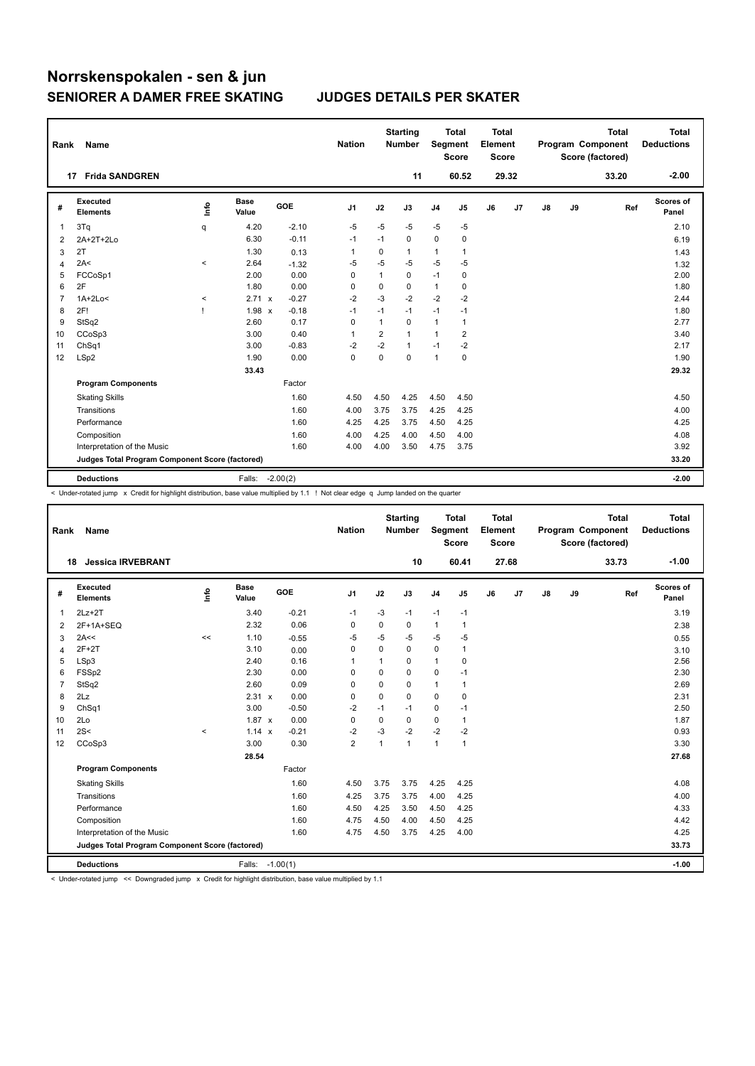| Rank           | Name                                            |              |                      |         | <b>Nation</b> |                         | <b>Starting</b><br><b>Number</b> | Segment        | <b>Total</b><br><b>Score</b> | Total<br>Element<br><b>Score</b> |       |    |    | <b>Total</b><br>Program Component<br>Score (factored) | <b>Total</b><br><b>Deductions</b> |
|----------------|-------------------------------------------------|--------------|----------------------|---------|---------------|-------------------------|----------------------------------|----------------|------------------------------|----------------------------------|-------|----|----|-------------------------------------------------------|-----------------------------------|
|                | <b>Frida SANDGREN</b><br>17                     |              |                      |         |               |                         | 11                               |                | 60.52                        |                                  | 29.32 |    |    | 33.20                                                 | $-2.00$                           |
| #              | Executed<br><b>Elements</b>                     | ۴٥           | <b>Base</b><br>Value | GOE     | J1            | J2                      | J3                               | J <sub>4</sub> | J5                           | J6                               | J7    | J8 | J9 | Ref                                                   | <b>Scores of</b><br>Panel         |
| 1              | 3Tq                                             | q            | 4.20                 | $-2.10$ | $-5$          | $-5$                    | $-5$                             | $-5$           | $-5$                         |                                  |       |    |    |                                                       | 2.10                              |
| 2              | 2A+2T+2Lo                                       |              | 6.30                 | $-0.11$ | $-1$          | $-1$                    | 0                                | $\mathbf 0$    | 0                            |                                  |       |    |    |                                                       | 6.19                              |
| 3              | 2T                                              |              | 1.30                 | 0.13    | $\mathbf{1}$  | 0                       | 1                                | $\mathbf{1}$   | 1                            |                                  |       |    |    |                                                       | 1.43                              |
| 4              | 2A<                                             | $\,<$        | 2.64                 | $-1.32$ | $-5$          | $-5$                    | $-5$                             | $-5$           | $-5$                         |                                  |       |    |    |                                                       | 1.32                              |
| 5              | FCCoSp1                                         |              | 2.00                 | 0.00    | 0             | 1                       | 0                                | $-1$           | 0                            |                                  |       |    |    |                                                       | 2.00                              |
| 6              | 2F                                              |              | 1.80                 | 0.00    | 0             | 0                       | 0                                | $\mathbf{1}$   | 0                            |                                  |       |    |    |                                                       | 1.80                              |
| $\overline{7}$ | $1A+2Lo<$                                       | $\,<\,$      | 2.71 x               | $-0.27$ | $-2$          | $-3$                    | $-2$                             | $-2$           | $-2$                         |                                  |       |    |    |                                                       | 2.44                              |
| 8              | 2F!                                             | $\mathbf{I}$ | $1.98 \times$        | $-0.18$ | $-1$          | $-1$                    | $-1$                             | $-1$           | $-1$                         |                                  |       |    |    |                                                       | 1.80                              |
| 9              | StSq2                                           |              | 2.60                 | 0.17    | $\mathbf 0$   | $\mathbf{1}$            | 0                                | $\mathbf{1}$   | 1                            |                                  |       |    |    |                                                       | 2.77                              |
| 10             | CCoSp3                                          |              | 3.00                 | 0.40    | $\mathbf{1}$  | $\overline{\mathbf{c}}$ | 1                                | $\mathbf{1}$   | $\overline{2}$               |                                  |       |    |    |                                                       | 3.40                              |
| 11             | Ch <sub>Sq1</sub>                               |              | 3.00                 | $-0.83$ | -2            | $-2$                    | 1                                | $-1$           | $-2$                         |                                  |       |    |    |                                                       | 2.17                              |
| 12             | LSp2                                            |              | 1.90                 | 0.00    | $\Omega$      | $\Omega$                | $\Omega$                         | $\mathbf{1}$   | 0                            |                                  |       |    |    |                                                       | 1.90                              |
|                |                                                 |              | 33.43                |         |               |                         |                                  |                |                              |                                  |       |    |    |                                                       | 29.32                             |
|                | <b>Program Components</b>                       |              |                      | Factor  |               |                         |                                  |                |                              |                                  |       |    |    |                                                       |                                   |
|                | <b>Skating Skills</b>                           |              |                      | 1.60    | 4.50          | 4.50                    | 4.25                             | 4.50           | 4.50                         |                                  |       |    |    |                                                       | 4.50                              |
|                | Transitions                                     |              |                      | 1.60    | 4.00          | 3.75                    | 3.75                             | 4.25           | 4.25                         |                                  |       |    |    |                                                       | 4.00                              |
|                | Performance                                     |              |                      | 1.60    | 4.25          | 4.25                    | 3.75                             | 4.50           | 4.25                         |                                  |       |    |    |                                                       | 4.25                              |
|                | Composition                                     |              |                      | 1.60    | 4.00          | 4.25                    | 4.00                             | 4.50           | 4.00                         |                                  |       |    |    |                                                       | 4.08                              |
|                | Interpretation of the Music                     |              |                      | 1.60    | 4.00          | 4.00                    | 3.50                             | 4.75           | 3.75                         |                                  |       |    |    |                                                       | 3.92                              |
|                | Judges Total Program Component Score (factored) |              |                      |         |               |                         |                                  |                |                              |                                  |       |    |    |                                                       | 33.20                             |
|                | <b>Deductions</b>                               |              | Falls: -2.00(2)      |         |               |                         |                                  |                |                              |                                  |       |    |    |                                                       | $-2.00$                           |

< Under-rotated jump x Credit for highlight distribution, base value multiplied by 1.1 ! Not clear edge q Jump landed on the quarter

| Rank           | <b>Name</b>                                     |       |                      |         | <b>Nation</b>  |              | <b>Starting</b><br><b>Number</b> |              | <b>Total</b><br>Segment<br><b>Score</b> | <b>Total</b><br>Element<br><b>Score</b> |       |    |    | <b>Total</b><br>Program Component<br>Score (factored) | <b>Total</b><br><b>Deductions</b> |
|----------------|-------------------------------------------------|-------|----------------------|---------|----------------|--------------|----------------------------------|--------------|-----------------------------------------|-----------------------------------------|-------|----|----|-------------------------------------------------------|-----------------------------------|
|                | <b>Jessica IRVEBRANT</b><br>18                  |       |                      |         |                |              | 10                               |              | 60.41                                   |                                         | 27.68 |    |    | 33.73                                                 | $-1.00$                           |
| #              | Executed<br><b>Elements</b>                     | lnfo  | <b>Base</b><br>Value | GOE     | J <sub>1</sub> | J2           | J3                               | J4           | J5                                      | J6                                      | J7    | J8 | J9 | Ref                                                   | Scores of<br>Panel                |
| 1              | $2Lz + 2T$                                      |       | 3.40                 | $-0.21$ | $-1$           | $-3$         | $-1$                             | $-1$         | $-1$                                    |                                         |       |    |    |                                                       | 3.19                              |
| 2              | 2F+1A+SEQ                                       |       | 2.32                 | 0.06    | 0              | $\mathbf 0$  | 0                                | $\mathbf{1}$ | $\mathbf{1}$                            |                                         |       |    |    |                                                       | 2.38                              |
| 3              | 2A<<                                            | <<    | 1.10                 | $-0.55$ | $-5$           | -5           | -5                               | $-5$         | $-5$                                    |                                         |       |    |    |                                                       | 0.55                              |
| 4              | $2F+2T$                                         |       | 3.10                 | 0.00    | $\Omega$       | $\Omega$     | $\Omega$                         | $\mathbf 0$  | 1                                       |                                         |       |    |    |                                                       | 3.10                              |
| 5              | LSp3                                            |       | 2.40                 | 0.16    | 1              | $\mathbf{1}$ | 0                                | $\mathbf{1}$ | 0                                       |                                         |       |    |    |                                                       | 2.56                              |
| 6              | FSSp2                                           |       | 2.30                 | 0.00    | 0              | 0            | 0                                | 0            | $-1$                                    |                                         |       |    |    |                                                       | 2.30                              |
| $\overline{7}$ | StSq2                                           |       | 2.60                 | 0.09    | 0              | $\Omega$     | 0                                | 1            | 1                                       |                                         |       |    |    |                                                       | 2.69                              |
| 8              | 2Lz                                             |       | 2.31 x               | 0.00    | 0              | $\mathbf 0$  | 0                                | 0            | 0                                       |                                         |       |    |    |                                                       | 2.31                              |
| 9              | ChSq1                                           |       | 3.00                 | $-0.50$ | $-2$           | $-1$         | $-1$                             | $\mathbf 0$  | $-1$                                    |                                         |       |    |    |                                                       | 2.50                              |
| 10             | 2Lo                                             |       | $1.87 \times$        | 0.00    | $\mathbf 0$    | $\mathbf 0$  | $\mathbf 0$                      | 0            | 1                                       |                                         |       |    |    |                                                       | 1.87                              |
| 11             | 2S<                                             | $\,<$ | $1.14 \times$        | $-0.21$ | $-2$           | $-3$         | $-2$                             | $-2$         | $-2$                                    |                                         |       |    |    |                                                       | 0.93                              |
| 12             | CCoSp3                                          |       | 3.00                 | 0.30    | $\overline{2}$ | $\mathbf{1}$ | 1                                | $\mathbf{1}$ | $\overline{1}$                          |                                         |       |    |    |                                                       | 3.30                              |
|                |                                                 |       | 28.54                |         |                |              |                                  |              |                                         |                                         |       |    |    |                                                       | 27.68                             |
|                | <b>Program Components</b>                       |       |                      | Factor  |                |              |                                  |              |                                         |                                         |       |    |    |                                                       |                                   |
|                | <b>Skating Skills</b>                           |       |                      | 1.60    | 4.50           | 3.75         | 3.75                             | 4.25         | 4.25                                    |                                         |       |    |    |                                                       | 4.08                              |
|                | Transitions                                     |       |                      | 1.60    | 4.25           | 3.75         | 3.75                             | 4.00         | 4.25                                    |                                         |       |    |    |                                                       | 4.00                              |
|                | Performance                                     |       |                      | 1.60    | 4.50           | 4.25         | 3.50                             | 4.50         | 4.25                                    |                                         |       |    |    |                                                       | 4.33                              |
|                | Composition                                     |       |                      | 1.60    | 4.75           | 4.50         | 4.00                             | 4.50         | 4.25                                    |                                         |       |    |    |                                                       | 4.42                              |
|                | Interpretation of the Music                     |       |                      | 1.60    | 4.75           | 4.50         | 3.75                             | 4.25         | 4.00                                    |                                         |       |    |    |                                                       | 4.25                              |
|                | Judges Total Program Component Score (factored) |       |                      |         |                |              |                                  |              |                                         |                                         |       |    |    |                                                       | 33.73                             |
|                | <b>Deductions</b>                               |       | Falls: -1.00(1)      |         |                |              |                                  |              |                                         |                                         |       |    |    |                                                       | $-1.00$                           |

< Under-rotated jump << Downgraded jump x Credit for highlight distribution, base value multiplied by 1.1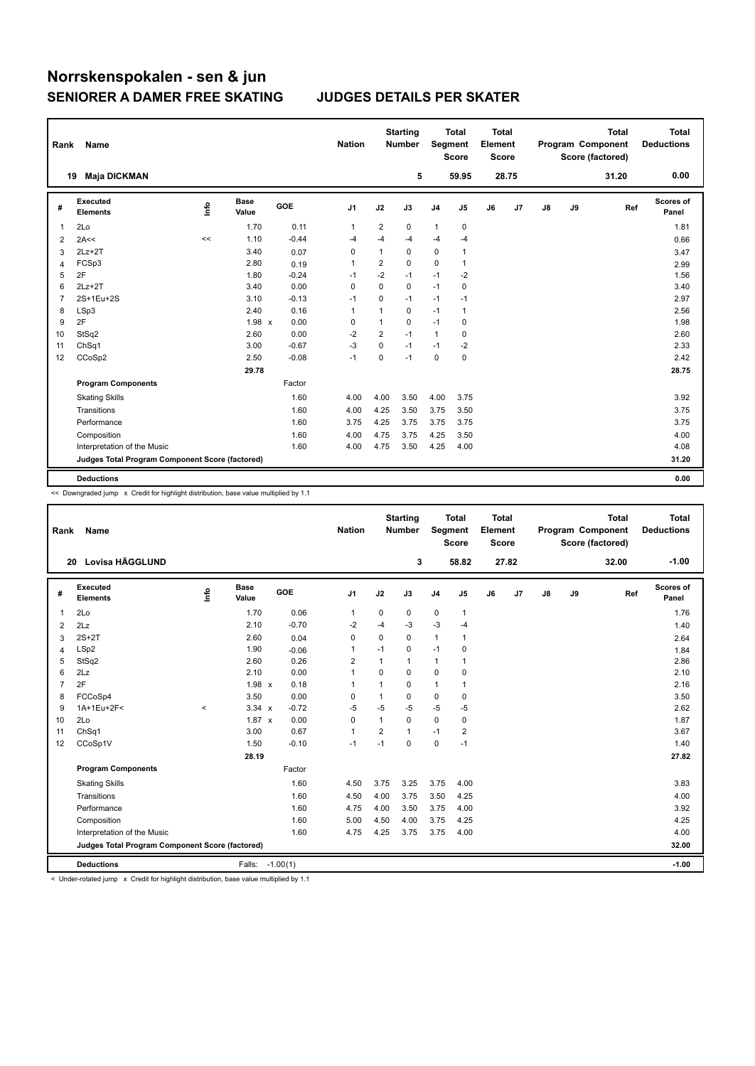| Rank           | Name                                            |      |                      |         | <b>Nation</b>  |                | <b>Starting</b><br><b>Number</b> |                | <b>Total</b><br>Segment<br><b>Score</b> | <b>Total</b><br>Element<br><b>Score</b> |       |    |    | <b>Total</b><br>Program Component<br>Score (factored) | <b>Total</b><br><b>Deductions</b> |
|----------------|-------------------------------------------------|------|----------------------|---------|----------------|----------------|----------------------------------|----------------|-----------------------------------------|-----------------------------------------|-------|----|----|-------------------------------------------------------|-----------------------------------|
|                | <b>Maja DICKMAN</b><br>19                       |      |                      |         |                |                | 5                                |                | 59.95                                   |                                         | 28.75 |    |    | 31.20                                                 | 0.00                              |
| #              | <b>Executed</b><br><b>Elements</b>              | Info | <b>Base</b><br>Value | GOE     | J1             | J2             | J3                               | J <sub>4</sub> | J5                                      | J6                                      | J7    | J8 | J9 | Ref                                                   | Scores of<br>Panel                |
| 1              | 2Lo                                             |      | 1.70                 | 0.11    | $\overline{1}$ | 2              | 0                                | $\mathbf{1}$   | 0                                       |                                         |       |    |    |                                                       | 1.81                              |
| 2              | 2A<<                                            | <<   | 1.10                 | $-0.44$ | $-4$           | $-4$           | $-4$                             | $-4$           | $-4$                                    |                                         |       |    |    |                                                       | 0.66                              |
| 3              | $2Lz+2T$                                        |      | 3.40                 | 0.07    | 0              | 1              | 0                                | 0              | 1                                       |                                         |       |    |    |                                                       | 3.47                              |
| $\overline{4}$ | FCSp3                                           |      | 2.80                 | 0.19    | $\overline{1}$ | $\overline{2}$ | $\Omega$                         | $\Omega$       | $\mathbf{1}$                            |                                         |       |    |    |                                                       | 2.99                              |
| 5              | 2F                                              |      | 1.80                 | $-0.24$ | $-1$           | $-2$           | $-1$                             | $-1$           | $-2$                                    |                                         |       |    |    |                                                       | 1.56                              |
| 6              | $2Lz + 2T$                                      |      | 3.40                 | 0.00    | $\mathbf 0$    | $\mathbf 0$    | 0                                | $-1$           | 0                                       |                                         |       |    |    |                                                       | 3.40                              |
| $\overline{7}$ | 2S+1Eu+2S                                       |      | 3.10                 | $-0.13$ | $-1$           | $\mathbf 0$    | $-1$                             | $-1$           | $-1$                                    |                                         |       |    |    |                                                       | 2.97                              |
| 8              | LSp3                                            |      | 2.40                 | 0.16    | 1              | 1              | 0                                | $-1$           | $\mathbf{1}$                            |                                         |       |    |    |                                                       | 2.56                              |
| 9              | 2F                                              |      | 1.98 x               | 0.00    | 0              | 1              | 0                                | $-1$           | 0                                       |                                         |       |    |    |                                                       | 1.98                              |
| 10             | StSq2                                           |      | 2.60                 | 0.00    | $-2$           | $\overline{2}$ | $-1$                             | $\mathbf{1}$   | 0                                       |                                         |       |    |    |                                                       | 2.60                              |
| 11             | ChSq1                                           |      | 3.00                 | $-0.67$ | $-3$           | $\mathbf 0$    | $-1$                             | $-1$           | $-2$                                    |                                         |       |    |    |                                                       | 2.33                              |
| 12             | CCoSp2                                          |      | 2.50                 | $-0.08$ | $-1$           | 0              | $-1$                             | $\mathbf 0$    | $\mathbf 0$                             |                                         |       |    |    |                                                       | 2.42                              |
|                |                                                 |      | 29.78                |         |                |                |                                  |                |                                         |                                         |       |    |    |                                                       | 28.75                             |
|                | <b>Program Components</b>                       |      |                      | Factor  |                |                |                                  |                |                                         |                                         |       |    |    |                                                       |                                   |
|                | <b>Skating Skills</b>                           |      |                      | 1.60    | 4.00           | 4.00           | 3.50                             | 4.00           | 3.75                                    |                                         |       |    |    |                                                       | 3.92                              |
|                | Transitions                                     |      |                      | 1.60    | 4.00           | 4.25           | 3.50                             | 3.75           | 3.50                                    |                                         |       |    |    |                                                       | 3.75                              |
|                | Performance                                     |      |                      | 1.60    | 3.75           | 4.25           | 3.75                             | 3.75           | 3.75                                    |                                         |       |    |    |                                                       | 3.75                              |
|                | Composition                                     |      |                      | 1.60    | 4.00           | 4.75           | 3.75                             | 4.25           | 3.50                                    |                                         |       |    |    |                                                       | 4.00                              |
|                | Interpretation of the Music                     |      |                      | 1.60    | 4.00           | 4.75           | 3.50                             | 4.25           | 4.00                                    |                                         |       |    |    |                                                       | 4.08                              |
|                | Judges Total Program Component Score (factored) |      |                      |         |                |                |                                  |                |                                         |                                         |       |    |    |                                                       | 31.20                             |
|                | <b>Deductions</b>                               |      |                      |         |                |                |                                  |                |                                         |                                         |       |    |    |                                                       | 0.00                              |

<< Downgraded jump x Credit for highlight distribution, base value multiplied by 1.1

| Rank           | <b>Name</b>                                     |         |                      |            | <b>Nation</b>  |                | <b>Starting</b><br><b>Number</b> | Segment        | <b>Total</b><br><b>Score</b> | <b>Total</b><br>Element<br><b>Score</b> |       |               |    | <b>Total</b><br>Program Component<br>Score (factored) | <b>Total</b><br><b>Deductions</b> |
|----------------|-------------------------------------------------|---------|----------------------|------------|----------------|----------------|----------------------------------|----------------|------------------------------|-----------------------------------------|-------|---------------|----|-------------------------------------------------------|-----------------------------------|
|                | Lovisa HÄGGLUND<br>20                           |         |                      |            |                |                | 3                                |                | 58.82                        |                                         | 27.82 |               |    | 32.00                                                 | $-1.00$                           |
| #              | Executed<br><b>Elements</b>                     | lnfo    | <b>Base</b><br>Value | GOE        | J <sub>1</sub> | J2             | J3                               | J <sub>4</sub> | J <sub>5</sub>               | J6                                      | J7    | $\mathsf{J}8$ | J9 | Ref                                                   | Scores of<br>Panel                |
| $\mathbf 1$    | 2Lo                                             |         | 1.70                 | 0.06       | $\mathbf{1}$   | 0              | 0                                | $\mathbf 0$    | $\mathbf{1}$                 |                                         |       |               |    |                                                       | 1.76                              |
| 2              | 2Lz                                             |         | 2.10                 | $-0.70$    | $-2$           | $-4$           | $-3$                             | $-3$           | $-4$                         |                                         |       |               |    |                                                       | 1.40                              |
| 3              | $2S+2T$                                         |         | 2.60                 | 0.04       | 0              | $\mathbf 0$    | $\Omega$                         | $\mathbf{1}$   | $\mathbf{1}$                 |                                         |       |               |    |                                                       | 2.64                              |
| $\overline{4}$ | LSp2                                            |         | 1.90                 | $-0.06$    | $\overline{1}$ | $-1$           | $\mathbf 0$                      | $-1$           | $\mathbf 0$                  |                                         |       |               |    |                                                       | 1.84                              |
| 5              | StSq2                                           |         | 2.60                 | 0.26       | $\overline{2}$ | 1              | $\mathbf{1}$                     | 1              | 1                            |                                         |       |               |    |                                                       | 2.86                              |
| 6              | 2Lz                                             |         | 2.10                 | 0.00       | $\overline{1}$ | 0              | $\mathbf 0$                      | 0              | $\mathbf 0$                  |                                         |       |               |    |                                                       | 2.10                              |
| $\overline{7}$ | 2F                                              |         | 1.98 x               | 0.18       | $\overline{1}$ | 1              | 0                                | 1              | 1                            |                                         |       |               |    |                                                       | 2.16                              |
| 8              | FCCoSp4                                         |         | 3.50                 | 0.00       | 0              | 1              | $\Omega$                         | 0              | $\mathbf 0$                  |                                         |       |               |    |                                                       | 3.50                              |
| 9              | 1A+1Eu+2F<                                      | $\prec$ | $3.34 \times$        | $-0.72$    | $-5$           | $-5$           | $-5$                             | $-5$           | $-5$                         |                                         |       |               |    |                                                       | 2.62                              |
| 10             | 2Lo                                             |         | $1.87 \times$        | 0.00       | $\mathbf 0$    | 1              | $\Omega$                         | 0              | $\mathbf 0$                  |                                         |       |               |    |                                                       | 1.87                              |
| 11             | ChSq1                                           |         | 3.00                 | 0.67       | $\overline{1}$ | $\overline{2}$ | $\mathbf{1}$                     | $-1$           | $\overline{2}$               |                                         |       |               |    |                                                       | 3.67                              |
| 12             | CCoSp1V                                         |         | 1.50                 | $-0.10$    | $-1$           | $-1$           | $\Omega$                         | 0              | $-1$                         |                                         |       |               |    |                                                       | 1.40                              |
|                |                                                 |         | 28.19                |            |                |                |                                  |                |                              |                                         |       |               |    |                                                       | 27.82                             |
|                | <b>Program Components</b>                       |         |                      | Factor     |                |                |                                  |                |                              |                                         |       |               |    |                                                       |                                   |
|                | <b>Skating Skills</b>                           |         |                      | 1.60       | 4.50           | 3.75           | 3.25                             | 3.75           | 4.00                         |                                         |       |               |    |                                                       | 3.83                              |
|                | Transitions                                     |         |                      | 1.60       | 4.50           | 4.00           | 3.75                             | 3.50           | 4.25                         |                                         |       |               |    |                                                       | 4.00                              |
|                | Performance                                     |         |                      | 1.60       | 4.75           | 4.00           | 3.50                             | 3.75           | 4.00                         |                                         |       |               |    |                                                       | 3.92                              |
|                | Composition                                     |         |                      | 1.60       | 5.00           | 4.50           | 4.00                             | 3.75           | 4.25                         |                                         |       |               |    |                                                       | 4.25                              |
|                | Interpretation of the Music                     |         |                      | 1.60       | 4.75           | 4.25           | 3.75                             | 3.75           | 4.00                         |                                         |       |               |    |                                                       | 4.00                              |
|                | Judges Total Program Component Score (factored) |         |                      |            |                |                |                                  |                |                              |                                         |       |               |    |                                                       | 32.00                             |
|                | <b>Deductions</b>                               |         | Falls:               | $-1.00(1)$ |                |                |                                  |                |                              |                                         |       |               |    |                                                       | $-1.00$                           |

< Under-rotated jump x Credit for highlight distribution, base value multiplied by 1.1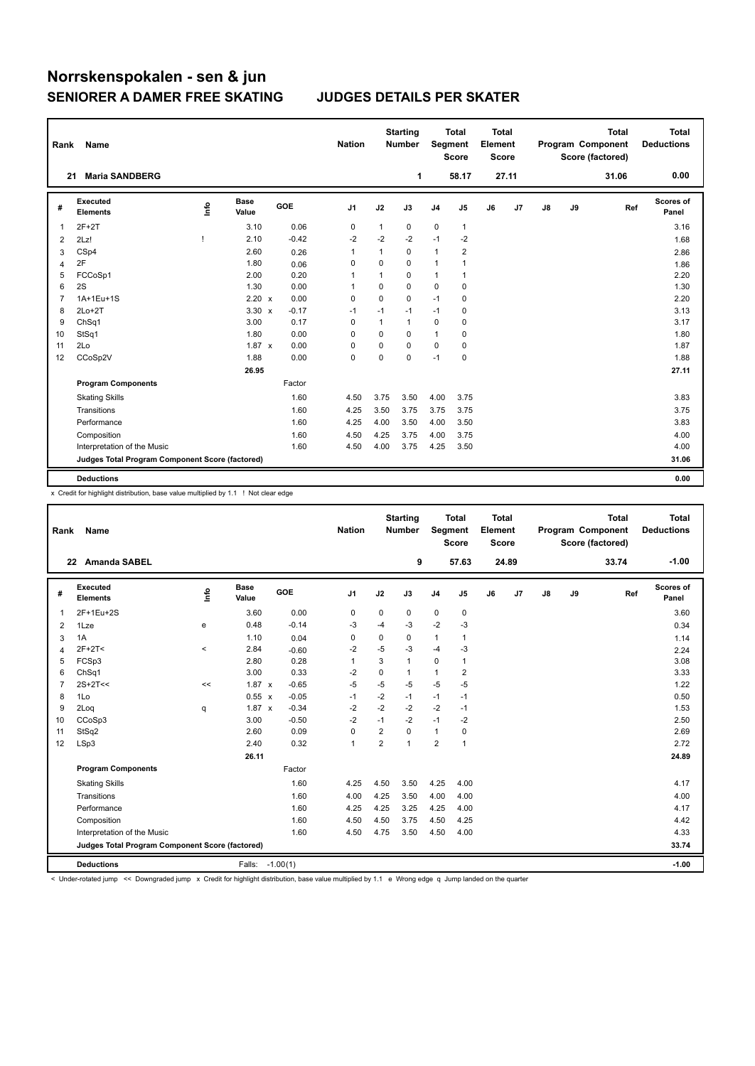| Rank           | Name                                            |              |                      |         | <b>Nation</b> |              | <b>Starting</b><br><b>Number</b> | Segment        | <b>Total</b><br><b>Score</b> | <b>Total</b><br>Element<br><b>Score</b> |       |    |    | <b>Total</b><br>Program Component<br>Score (factored) | <b>Total</b><br><b>Deductions</b> |
|----------------|-------------------------------------------------|--------------|----------------------|---------|---------------|--------------|----------------------------------|----------------|------------------------------|-----------------------------------------|-------|----|----|-------------------------------------------------------|-----------------------------------|
| 21             | <b>Maria SANDBERG</b>                           |              |                      |         |               |              | 1                                |                | 58.17                        |                                         | 27.11 |    |    | 31.06                                                 | 0.00                              |
| #              | Executed<br><b>Elements</b>                     | lnfo         | <b>Base</b><br>Value | GOE     | J1            | J2           | J3                               | J <sub>4</sub> | $\mathsf{J}5$                | J6                                      | J7    | J8 | J9 | Ref                                                   | Scores of<br>Panel                |
| 1              | $2F+2T$                                         |              | 3.10                 | 0.06    | $\mathbf 0$   | $\mathbf{1}$ | 0                                | $\mathbf 0$    | 1                            |                                         |       |    |    |                                                       | 3.16                              |
| 2              | 2Lz!                                            | $\mathbf{I}$ | 2.10                 | $-0.42$ | $-2$          | $-2$         | $-2$                             | $-1$           | $-2$                         |                                         |       |    |    |                                                       | 1.68                              |
| 3              | CSp4                                            |              | 2.60                 | 0.26    | 1             | 1            | 0                                | $\mathbf{1}$   | $\overline{\mathbf{c}}$      |                                         |       |    |    |                                                       | 2.86                              |
| 4              | 2F                                              |              | 1.80                 | 0.06    | 0             | 0            | 0                                | $\mathbf{1}$   |                              |                                         |       |    |    |                                                       | 1.86                              |
| 5              | FCCoSp1                                         |              | 2.00                 | 0.20    | 1             | 1            | 0                                | $\mathbf{1}$   | 1                            |                                         |       |    |    |                                                       | 2.20                              |
| 6              | 2S                                              |              | 1.30                 | 0.00    | 1             | $\mathbf 0$  | 0                                | $\mathbf 0$    | 0                            |                                         |       |    |    |                                                       | 1.30                              |
| $\overline{7}$ | 1A+1Eu+1S                                       |              | 2.20 x               | 0.00    | 0             | 0            | 0                                | $-1$           | 0                            |                                         |       |    |    |                                                       | 2.20                              |
| 8              | $2Lo+2T$                                        |              | $3.30 \times$        | $-0.17$ | -1            | $-1$         | $-1$                             | $-1$           | 0                            |                                         |       |    |    |                                                       | 3.13                              |
| 9              | ChSq1                                           |              | 3.00                 | 0.17    | 0             | $\mathbf{1}$ | 1                                | $\mathbf 0$    | 0                            |                                         |       |    |    |                                                       | 3.17                              |
| 10             | StSq1                                           |              | 1.80                 | 0.00    | $\mathbf 0$   | 0            | 0                                | $\mathbf{1}$   | $\mathbf 0$                  |                                         |       |    |    |                                                       | 1.80                              |
| 11             | 2Lo                                             |              | $1.87 \times$        | 0.00    | 0             | 0            | 0                                | 0              | 0                            |                                         |       |    |    |                                                       | 1.87                              |
| 12             | CCoSp2V                                         |              | 1.88                 | 0.00    | $\mathbf 0$   | 0            | 0                                | $-1$           | $\mathbf 0$                  |                                         |       |    |    |                                                       | 1.88                              |
|                |                                                 |              | 26.95                |         |               |              |                                  |                |                              |                                         |       |    |    |                                                       | 27.11                             |
|                | <b>Program Components</b>                       |              |                      | Factor  |               |              |                                  |                |                              |                                         |       |    |    |                                                       |                                   |
|                | <b>Skating Skills</b>                           |              |                      | 1.60    | 4.50          | 3.75         | 3.50                             | 4.00           | 3.75                         |                                         |       |    |    |                                                       | 3.83                              |
|                | Transitions                                     |              |                      | 1.60    | 4.25          | 3.50         | 3.75                             | 3.75           | 3.75                         |                                         |       |    |    |                                                       | 3.75                              |
|                | Performance                                     |              |                      | 1.60    | 4.25          | 4.00         | 3.50                             | 4.00           | 3.50                         |                                         |       |    |    |                                                       | 3.83                              |
|                | Composition                                     |              |                      | 1.60    | 4.50          | 4.25         | 3.75                             | 4.00           | 3.75                         |                                         |       |    |    |                                                       | 4.00                              |
|                | Interpretation of the Music                     |              |                      | 1.60    | 4.50          | 4.00         | 3.75                             | 4.25           | 3.50                         |                                         |       |    |    |                                                       | 4.00                              |
|                | Judges Total Program Component Score (factored) |              |                      |         |               |              |                                  |                |                              |                                         |       |    |    |                                                       | 31.06                             |
|                | <b>Deductions</b>                               |              |                      |         |               |              |                                  |                |                              |                                         |       |    |    |                                                       | 0.00                              |

x Credit for highlight distribution, base value multiplied by 1.1 ! Not clear edge

| Rank           | Name                                            |          |                      |         | <b>Nation</b>  |                | <b>Starting</b><br><b>Number</b> |                | <b>Total</b><br>Segment<br><b>Score</b> | <b>Total</b><br>Element<br><b>Score</b> |       |    |    | <b>Total</b><br>Program Component<br>Score (factored) | <b>Total</b><br><b>Deductions</b> |
|----------------|-------------------------------------------------|----------|----------------------|---------|----------------|----------------|----------------------------------|----------------|-----------------------------------------|-----------------------------------------|-------|----|----|-------------------------------------------------------|-----------------------------------|
|                | 22 Amanda SABEL                                 |          |                      |         |                |                | 9                                |                | 57.63                                   |                                         | 24.89 |    |    | 33.74                                                 | $-1.00$                           |
| #              | Executed<br><b>Elements</b>                     | lnfo     | <b>Base</b><br>Value | GOE     | J1             | J2             | J3                               | J <sub>4</sub> | J <sub>5</sub>                          | J6                                      | J7    | J8 | J9 | Ref                                                   | Scores of<br>Panel                |
| 1              | 2F+1Eu+2S                                       |          | 3.60                 | 0.00    | 0              | 0              | 0                                | 0              | 0                                       |                                         |       |    |    |                                                       | 3.60                              |
| 2              | 1Lze                                            | е        | 0.48                 | $-0.14$ | -3             | $-4$           | -3                               | $-2$           | -3                                      |                                         |       |    |    |                                                       | 0.34                              |
| 3              | 1A                                              |          | 1.10                 | 0.04    | 0              | 0              | 0                                | 1              | $\mathbf{1}$                            |                                         |       |    |    |                                                       | 1.14                              |
| $\overline{4}$ | $2F+2T<$                                        | $\hat{}$ | 2.84                 | $-0.60$ | -2             | $-5$           | $-3$                             | $-4$           | -3                                      |                                         |       |    |    |                                                       | 2.24                              |
| 5              | FCSp3                                           |          | 2.80                 | 0.28    | $\mathbf{1}$   | 3              | $\mathbf{1}$                     | 0              | $\mathbf{1}$                            |                                         |       |    |    |                                                       | 3.08                              |
| 6              | ChSq1                                           |          | 3.00                 | 0.33    | -2             | 0              | 1                                | 1              | 2                                       |                                         |       |    |    |                                                       | 3.33                              |
| 7              | $2S+2T<<$                                       | <<       | $1.87 \times$        | $-0.65$ | -5             | $-5$           | $-5$                             | $-5$           | $-5$                                    |                                         |       |    |    |                                                       | 1.22                              |
| 8              | 1Lo                                             |          | $0.55 \times$        | $-0.05$ | -1             | $-2$           | $-1$                             | $-1$           | $-1$                                    |                                         |       |    |    |                                                       | 0.50                              |
| 9              | 2Log                                            | q        | $1.87 \times$        | $-0.34$ | $-2$           | $-2$           | $-2$                             | $-2$           | $-1$                                    |                                         |       |    |    |                                                       | 1.53                              |
| 10             | CCoSp3                                          |          | 3.00                 | $-0.50$ | $-2$           | $-1$           | $-2$                             | $-1$           | $-2$                                    |                                         |       |    |    |                                                       | 2.50                              |
| 11             | StSq2                                           |          | 2.60                 | 0.09    | 0              | 2              | 0                                | 1              | 0                                       |                                         |       |    |    |                                                       | 2.69                              |
| 12             | LSp3                                            |          | 2.40                 | 0.32    | $\overline{1}$ | $\overline{2}$ | $\mathbf{1}$                     | $\overline{2}$ | $\overline{1}$                          |                                         |       |    |    |                                                       | 2.72                              |
|                |                                                 |          | 26.11                |         |                |                |                                  |                |                                         |                                         |       |    |    |                                                       | 24.89                             |
|                | <b>Program Components</b>                       |          |                      | Factor  |                |                |                                  |                |                                         |                                         |       |    |    |                                                       |                                   |
|                | <b>Skating Skills</b>                           |          |                      | 1.60    | 4.25           | 4.50           | 3.50                             | 4.25           | 4.00                                    |                                         |       |    |    |                                                       | 4.17                              |
|                | Transitions                                     |          |                      | 1.60    | 4.00           | 4.25           | 3.50                             | 4.00           | 4.00                                    |                                         |       |    |    |                                                       | 4.00                              |
|                | Performance                                     |          |                      | 1.60    | 4.25           | 4.25           | 3.25                             | 4.25           | 4.00                                    |                                         |       |    |    |                                                       | 4.17                              |
|                | Composition                                     |          |                      | 1.60    | 4.50           | 4.50           | 3.75                             | 4.50           | 4.25                                    |                                         |       |    |    |                                                       | 4.42                              |
|                | Interpretation of the Music                     |          |                      | 1.60    | 4.50           | 4.75           | 3.50                             | 4.50           | 4.00                                    |                                         |       |    |    |                                                       | 4.33                              |
|                | Judges Total Program Component Score (factored) |          |                      |         |                |                |                                  |                |                                         |                                         |       |    |    |                                                       | 33.74                             |
|                | <b>Deductions</b>                               |          | Falls: -1.00(1)      |         |                |                |                                  |                |                                         |                                         |       |    |    |                                                       | $-1.00$                           |

< Under-rotated jump << Downgraded jump x Credit for highlight distribution, base value multiplied by 1.1 e Wrong edge q Jump landed on the quarter